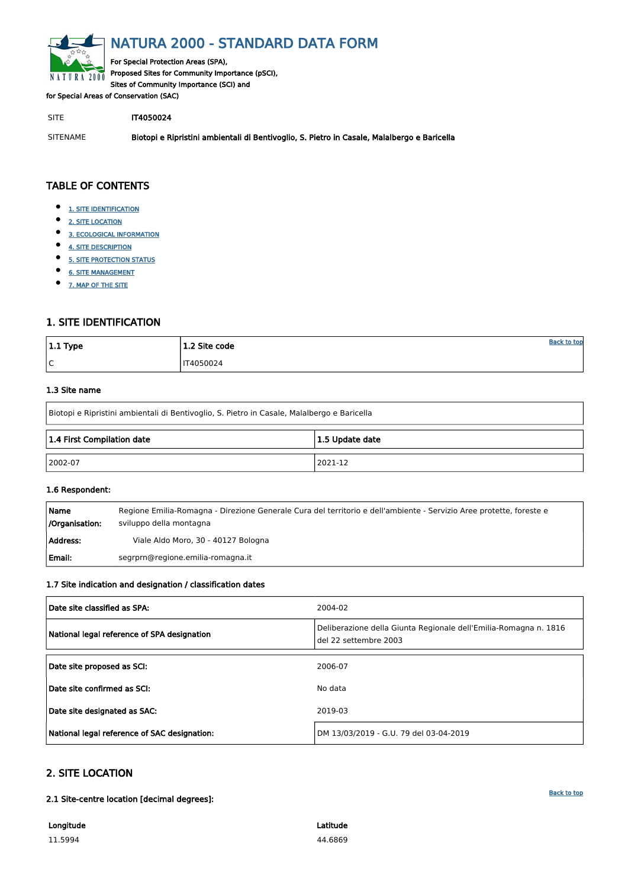<span id="page-0-0"></span>

# NATURA 2000 - STANDARD DATA FORM

For Special Protection Areas (SPA), Proposed Sites for Community Importance (pSCI), Sites of Community Importance (SCI) and

for Special Areas of Conservation (SAC)

SITE **IT4050024** 

- $\bullet$ [1. SITE IDENTIFICATION](#page-0-1)
- [2. SITE LOCATION](#page-0-2)
- $\bullet$ [3. ECOLOGICAL INFORMATION](#page-1-0)
- $\bullet$ [4. SITE DESCRIPTION](#page-11-0)
- $\bullet$ [5. SITE PROTECTION STATUS](#page-12-0)
- $\bullet$ [6. SITE MANAGEMENT](#page-12-1)
- $\bullet$ [7. MAP OF THE SITE](#page-12-2)

SITENAME Biotopi e Ripristini ambientali di Bentivoglio, S. Pietro in Casale, Malalbergo e Baricella

| $ 1.1$ Type | 1.2 Site code    | <b>Back to top</b> |
|-------------|------------------|--------------------|
| l C         | <b>IT4050024</b> |                    |

# TABLE OF CONTENTS

# <span id="page-0-1"></span>1. SITE IDENTIFICATION

#### 1.3 Site name

Biotopi e Ripristini ambientali di Bentivoglio, S. Pietro in Casale, Malalbergo e Baricella

| 1.4 First Compilation date | 1.5 Update date |  |  |  |  |  |
|----------------------------|-----------------|--|--|--|--|--|
| $ 2002-07$                 | 2021-12         |  |  |  |  |  |

#### 1.6 Respondent:

| Name<br>/Organisation: | Regione Emilia-Romagna - Direzione Generale Cura del territorio e dell'ambiente - Servizio Aree protette, foreste e<br>sviluppo della montagna |
|------------------------|------------------------------------------------------------------------------------------------------------------------------------------------|
| Address:               | Viale Aldo Moro, 30 - 40127 Bologna                                                                                                            |
| Email:                 | segrprn@regione.emilia-romagna.it                                                                                                              |

### 1.7 Site indication and designation / classification dates

| Date site classified as SPA:                | 2004-02                                                                                   |
|---------------------------------------------|-------------------------------------------------------------------------------------------|
| National legal reference of SPA designation | Deliberazione della Giunta Regionale dell'Emilia-Romagna n. 1816<br>del 22 settembre 2003 |
|                                             |                                                                                           |

| Date site confirmed as SCI:                  | No data                                |
|----------------------------------------------|----------------------------------------|
| Date site designated as SAC:                 | 2019-03                                |
| National legal reference of SAC designation: | DM 13/03/2019 - G.U. 79 del 03-04-2019 |

# <span id="page-0-2"></span>2. SITE LOCATION

2.1 Site-centre location [decimal degrees]:

Longitude

11.5994

Latitude 44.6869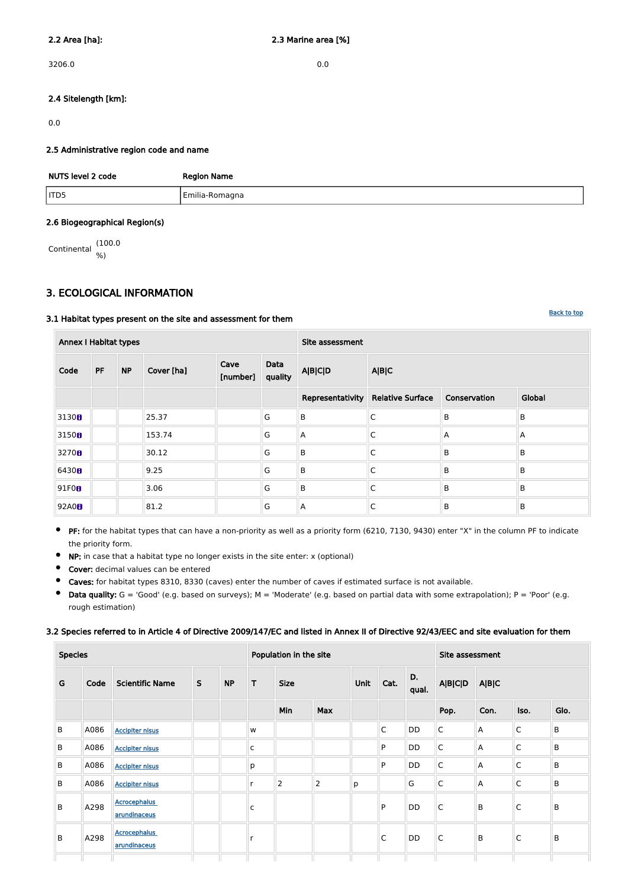$3206.0$  0.0

### 2.4 Sitelength [km]:

0.0

#### 2.5 Administrative region code and name

| NUTS level 2 code | <b>Region Name</b> |
|-------------------|--------------------|
| TD5               | Emilia-Romagna     |

#### 2.6 Biogeographical Region(s)

Continental (100.0 %)

# <span id="page-1-0"></span>3. ECOLOGICAL INFORMATION

## 3.1 Habitat types present on the site and assessment for them

| <b>Annex I Habitat types</b> |           |           |            |                  |                 | Site assessment  |                         |                |        |  |  |  |  |
|------------------------------|-----------|-----------|------------|------------------|-----------------|------------------|-------------------------|----------------|--------|--|--|--|--|
| Code                         | <b>PF</b> | <b>NP</b> | Cover [ha] | Cave<br>[number] | Data<br>quality | <b>A B C D</b>   | A B C                   |                |        |  |  |  |  |
|                              |           |           |            |                  |                 | Representativity | <b>Relative Surface</b> | Conservation   | Global |  |  |  |  |
| 3130 <sub>0</sub>            |           |           | 25.37      |                  | G               | $\sf B$          | $\mathsf C$             | $\overline{B}$ | B      |  |  |  |  |
| 3150 <sub>0</sub>            |           |           | 153.74     |                  | G               | A                | C                       | $\mathsf{A}$   | A      |  |  |  |  |
| 3270 <sub>8</sub>            |           |           | 30.12      |                  | G               | B                | C                       | B              | B      |  |  |  |  |
| 6430H                        |           |           | 9.25       |                  | G               | $\sf B$          | $\mathsf C$             | $\overline{B}$ | B      |  |  |  |  |
| 91F0B                        |           |           | 3.06       |                  | G               | $\sf B$          | C                       | B              | B      |  |  |  |  |
| 92A0 <sub>8</sub>            |           |           | 81.2       |                  | G               | A                | $\mathsf C$             | B              | B      |  |  |  |  |

- **PF:** for the habitat types that can have a non-priority as well as a priority form (6210, 7130, 9430) enter "X" in the column PF to indicate the priority form.
- $\bullet$ NP: in case that a habitat type no longer exists in the site enter: x (optional)
- $\bullet$ Cover: decimal values can be entered
- $\bullet$ Caves: for habitat types 8310, 8330 (caves) enter the number of caves if estimated surface is not available.
- Data quality:  $G = 'Good'$  (e.g. based on surveys);  $M = 'Modern'$  (e.g. based on partial data with some extrapolation);  $P = 'Poor'$  (e.g.  $\bullet$ rough estimation)

# 3.2 Species referred to in Article 4 of Directive 2009/147/EC and listed in Annex II of Directive 92/43/EEC and site evaluation for them

| <b>Species</b> | Population in the site |  | Site assessment |  |
|----------------|------------------------|--|-----------------|--|
|                |                        |  |                 |  |

| G | Code | <b>Scientific Name</b>              | $\mathsf{S}$ | <b>NP</b> | T            | <b>Size</b>    | Unit           |   | Cat. | D.<br>qual. | <b>A B C D</b>          | <b>A B C</b>   |             |         |
|---|------|-------------------------------------|--------------|-----------|--------------|----------------|----------------|---|------|-------------|-------------------------|----------------|-------------|---------|
|   |      |                                     |              |           |              | Min            | <b>Max</b>     |   |      |             | Pop.                    | Con.           | Iso.        | Glo.    |
| B | A086 | <b>Accipiter nisus</b>              |              |           | W            |                |                |   | C    | DD          | $\overline{C}$          | $\mathsf{A}$   | $\mathsf C$ | $\sf B$ |
| B | A086 | <b>Accipiter nisus</b>              |              |           | $\mathsf C$  |                |                |   | P    | DD          | $\overline{\mathsf{C}}$ | $\overline{A}$ | C           | $\sf B$ |
| B | A086 | <b>Accipiter nisus</b>              |              |           | p            |                |                |   | P    | DD          | $\mathsf C$             | $\overline{A}$ | $\mathsf C$ | B       |
| B | A086 | <b>Accipiter nisus</b>              |              |           | $\mathsf{r}$ | $\overline{2}$ | $\overline{2}$ | p |      | G           | $\mathsf C$             | $\overline{A}$ | C           | $\sf B$ |
| B | A298 | <b>Acrocephalus</b><br>arundinaceus |              |           | $\mathsf C$  |                |                |   | P    | DD          | $\mathsf{C}$            | B              | C           | B       |
| B | A298 | <b>Acrocephalus</b><br>arundinaceus |              |           | r            |                |                |   | C    | DD          | $\mathsf{C}$            | B              | C           | B       |
|   |      |                                     |              |           |              |                |                |   |      |             |                         |                |             |         |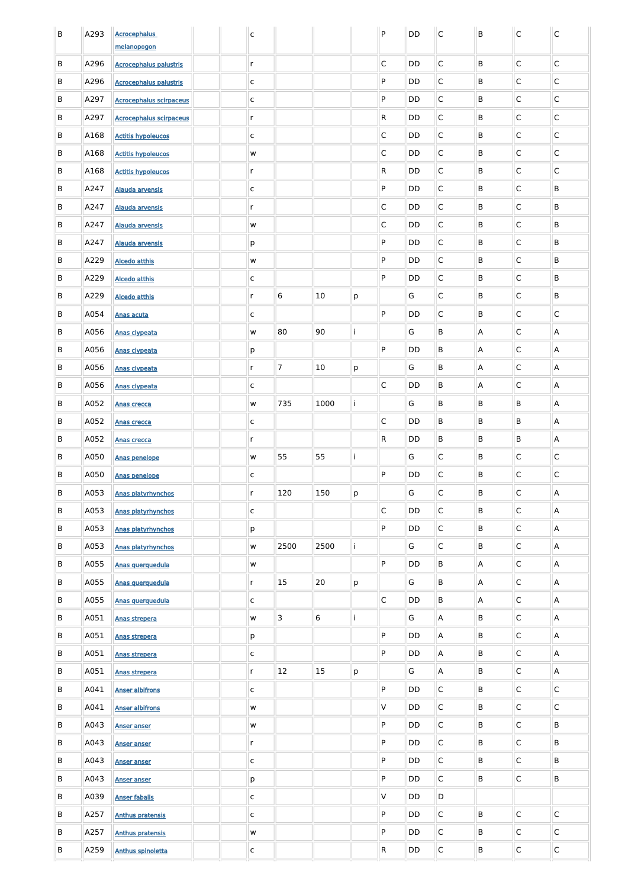| B | A293 | <b>Acrocephalus</b>            |  | $\mathsf{C}$ |                 |           |   | $\mathsf{P}$            | <b>DD</b> | $\mathsf{C}$ | $\sf B$        | $\mathsf C$  | $\mathsf{C}$   |
|---|------|--------------------------------|--|--------------|-----------------|-----------|---|-------------------------|-----------|--------------|----------------|--------------|----------------|
|   |      | melanopogon                    |  |              |                 |           |   |                         |           |              |                |              |                |
| B | A296 | <b>Acrocephalus palustris</b>  |  | $\mathsf{r}$ |                 |           |   | $\mathsf C$             | <b>DD</b> | $\mathsf C$  | B              | C            | $\mathsf C$    |
| B | A296 | <b>Acrocephalus palustris</b>  |  | $\mathsf{C}$ |                 |           |   | P                       | <b>DD</b> | $\mathsf C$  | B              | C            | $\mathsf C$    |
| B | A297 | <b>Acrocephalus scirpaceus</b> |  | $\mathsf{C}$ |                 |           |   | P                       | <b>DD</b> | $\mathsf C$  | B              | $\mathsf{C}$ | $\mathsf C$    |
| B | A297 | <b>Acrocephalus scirpaceus</b> |  | $\mathsf{r}$ |                 |           |   | ${\sf R}$               | <b>DD</b> | $\mathsf C$  | B              | $\mathsf{C}$ | $\mathsf C$    |
| B | A168 | <b>Actitis hypoleucos</b>      |  | $\mathsf{C}$ |                 |           |   | $\mathsf C$             | <b>DD</b> | $\mathsf C$  | B              | $\mathsf{C}$ | $\mathsf C$    |
| B | A168 | <b>Actitis hypoleucos</b>      |  | ${\sf W}$    |                 |           |   | $\mathsf C$             | <b>DD</b> | $\mathsf C$  | B              | $\mathsf{C}$ | $\mathsf C$    |
| B | A168 | <b>Actitis hypoleucos</b>      |  | $\mathsf{r}$ |                 |           |   | ${\sf R}$               | <b>DD</b> | $\mathsf C$  | B              | $\mathsf{C}$ | $\mathsf C$    |
| В | A247 | <b>Alauda arvensis</b>         |  | $\mathsf{C}$ |                 |           |   | P                       | <b>DD</b> | $\mathsf C$  | B              | C            | B              |
| В | A247 | Alauda arvensis                |  | $\mathsf{r}$ |                 |           |   | $\mathsf C$             | <b>DD</b> | C            | B              | C            | B              |
| В | A247 | Alauda arvensis                |  | ${\sf W}$    |                 |           |   | $\mathsf C$             | <b>DD</b> | $\mathsf C$  | B              | C            | B              |
| В | A247 | <b>Alauda arvensis</b>         |  | p            |                 |           |   | P                       | <b>DD</b> | $\mathsf C$  | B              | C            | B              |
| В | A229 | <b>Alcedo atthis</b>           |  | W            |                 |           |   | P                       | <b>DD</b> | $\mathsf C$  | B              | C            | B              |
| В | A229 | <b>Alcedo atthis</b>           |  | $\mathsf{C}$ |                 |           |   | P                       | <b>DD</b> | $\mathsf C$  | B              | C            | B              |
| В | A229 | <b>Alcedo atthis</b>           |  | r            | $6\phantom{1}6$ | 10        | p |                         | G         | $\mathsf C$  | B              | C            | B              |
| В | A054 | Anas acuta                     |  | $\mathsf{C}$ |                 |           |   | P                       | <b>DD</b> | $\mathsf C$  | B              | $\mathsf{C}$ | $\mathsf{C}$   |
| В | A056 | Anas clypeata                  |  | W            | 80              | 90        |   |                         | G         | B            | Α              | C            | A              |
| В | A056 | <b>Anas clypeata</b>           |  | р            |                 |           |   | P                       | <b>DD</b> | B            | A              | С            | A              |
| B | A056 | Anas clypeata                  |  | $r_{\rm}$    | $\overline{7}$  | 10        | p |                         | G         | $\mathsf B$  | $\overline{A}$ | $\mathsf{C}$ | $\overline{A}$ |
| B | A056 | Anas clypeata                  |  | $\mathsf{C}$ |                 |           |   | $\overline{\mathsf{C}}$ | DD        | B            | $\overline{A}$ | C            | $\overline{A}$ |
| B | A052 | Anas crecca                    |  | w            | 735             | 1000      |   |                         | G         | B            | B              | B            | $\mathsf{A}$   |
| B | A052 | <b>Anas crecca</b>             |  | $\mathsf{C}$ |                 |           |   | $\overline{\mathsf{C}}$ | DD        | B            | B              | B            | $\mathsf{A}$   |
| B | A052 | Anas crecca                    |  | $r_{\rm}$    |                 |           |   | $\mathsf{R}$            | DD        | B            | B              | B            | $\mathsf{A}$   |
| B | A050 | <b>Anas penelope</b>           |  | W            | 55              | 55        |   |                         | G         | $\mathsf{C}$ | B              | $\mathsf{C}$ | $\mathsf{C}$   |
| B | A050 | Anas penelope                  |  | $\mathsf{C}$ |                 |           |   | P                       | DD        | $\mathsf{C}$ | B              | $\mathsf{C}$ | $\mathsf{C}$   |
| B | A053 | Anas platyrhynchos             |  | $r_{\rm}$    | 120             | 150       | p |                         | G         | $\mathsf{C}$ | B              | $\mathsf{C}$ | $\mathsf{A}$   |
| B | A053 | Anas platyrhynchos             |  | $\mathsf{C}$ |                 |           |   | $\overline{\mathsf{C}}$ | DD        | $\mathsf{C}$ | B              | $\mathsf{C}$ | $\mathsf{A}$   |
| B | A053 | Anas platyrhynchos             |  | p            |                 |           |   | P                       | DD        | $\mathsf{C}$ | B              | $\mathsf{C}$ | $\mathsf{A}$   |
| B | A053 | Anas platyrhynchos             |  | W            | 2500            | 2500      |   |                         | G         | $\mathsf{C}$ | B              | $\mathsf{C}$ | $\mathsf{A}$   |
| B | A055 | Anas querquedula               |  | W            |                 |           |   | P                       | DD        | B            | Α              | $\mathsf{C}$ | $\mathsf{A}$   |
| B | A055 | Anas querquedula               |  | $\mathsf{r}$ | 15              | 20        | p |                         | G         | B            | $\mathsf{A}$   | $\mathsf{C}$ | $\mathsf{A}$   |
| B | A055 | Anas querquedula               |  | $\mathsf{C}$ |                 |           |   | $\overline{\mathsf{C}}$ | DD        | B            | Α              | $\mathsf{C}$ | $\mathsf{A}$   |
| B | A051 | Anas strepera                  |  | w            | 3               | 6         |   |                         | G         | A            | B              | $\mathsf{C}$ | $\mathsf{A}$   |
| B | A051 | Anas strepera                  |  | p            |                 |           |   | P                       | DD        | A            | B              | $\mathsf{C}$ | $\mathsf{A}$   |
| B | A051 | Anas strepera                  |  | $\mathsf{C}$ |                 |           |   | P                       | DD        | A            | B              | $\mathsf{C}$ | A              |
| B | A051 | Anas strepera                  |  | r            | 12              | <b>15</b> | p |                         | G         | A            | B              | $\mathsf{C}$ | $\mathsf{A}$   |
| B | A041 | <b>Anser albifrons</b>         |  | $\mathsf{C}$ |                 |           |   | ${\sf P}$               | DD        | $\mathsf C$  | B              | $\mathsf C$  | $\mathsf{C}$   |
| B | A041 | <b>Anser albifrons</b>         |  | W            |                 |           |   | IV.                     | DD        | $\mathsf{C}$ | B              | $\mathsf{C}$ | $\mathsf C$    |
| B | A043 | <b>Anser anser</b>             |  | W            |                 |           |   | P                       | DD        | $\mathsf C$  | B              | $\mathsf{C}$ | B              |
| B | A043 | <b>Anser anser</b>             |  | $r_{\rm}$    |                 |           |   | P                       | DD        | $\mathsf C$  | $\mathsf{B}$   | $\mathsf{C}$ | B              |
| B | A043 | <b>Anser anser</b>             |  | $\mathsf{C}$ |                 |           |   | P                       | DD        | $\mathsf C$  | $\mathsf{B}$   | $\mathsf{C}$ | B              |
| B | A043 | <b>Anser anser</b>             |  | p            |                 |           |   | P                       | DD        | $\mathsf{C}$ | B              | $\mathsf{C}$ | B              |
| B | A039 | <b>Anser fabalis</b>           |  | $\mathsf{C}$ |                 |           |   | V                       | DD        | D            |                |              |                |
| B | A257 | <b>Anthus pratensis</b>        |  | $\mathsf{C}$ |                 |           |   | P                       | DD        | $\mathsf{C}$ | B              | $\mathsf{C}$ | $\overline{C}$ |
| B | A257 | <b>Anthus pratensis</b>        |  | W            |                 |           |   | P                       | DD        | $\mathsf C$  | $\mathsf B$    | $\mathsf{C}$ | $\mathsf C$    |
| B | A259 | <b>Anthus spinoletta</b>       |  | $\mathsf{C}$ |                 |           |   | $\mathsf{R}$            | DD        | $\mathsf C$  | $\sf B$        | $\mathsf C$  | $\mathsf{C}$   |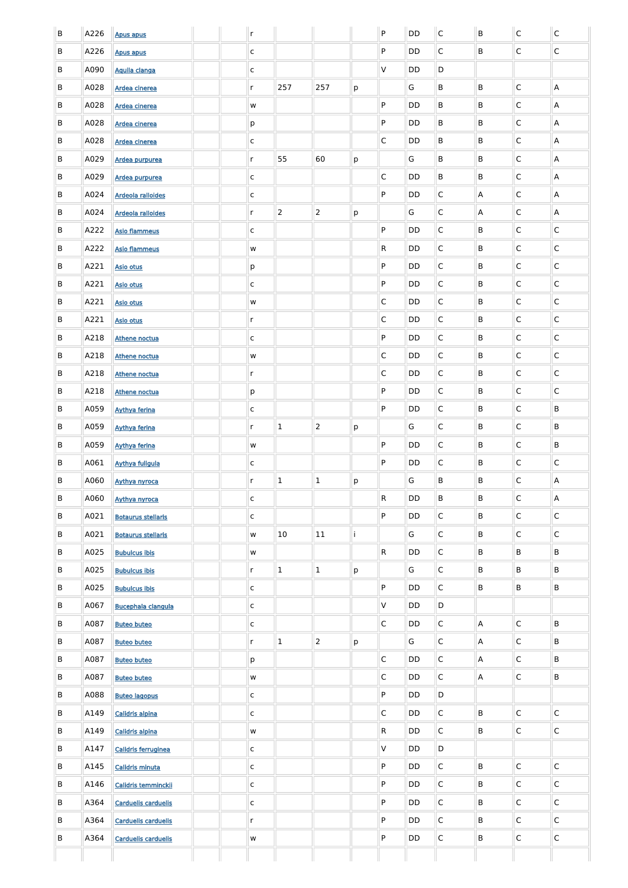| B | A226 | <b>Apus apus</b>           |  | $\mathsf{r}$  |                |                |   | P            | <b>DD</b> | $\mathsf{C}$ | B                         | $\mathsf C$  | $\mathsf{C}$   |
|---|------|----------------------------|--|---------------|----------------|----------------|---|--------------|-----------|--------------|---------------------------|--------------|----------------|
| B | A226 | <b>Apus apus</b>           |  | $\mathsf{C}$  |                |                |   | P            | DD        | C            | B                         | $\mathsf{C}$ | $\mathsf C$    |
| B | A090 | Aquila clanga              |  | $\mathsf{C}$  |                |                |   | $\vee$       | DD        | D            |                           |              |                |
| B | A028 | Ardea cinerea              |  | $\mathsf{r}$  | 257            | 257            | p |              | G         | B            | B                         | $\mathsf{C}$ | $\overline{A}$ |
| B | A028 | <b>Ardea cinerea</b>       |  | ${\sf W}$     |                |                |   | P            | DD        | B            | B                         | $\mathsf{C}$ | $\overline{A}$ |
| B | A028 | Ardea cinerea              |  | p             |                |                |   | $\mathsf{P}$ | <b>DD</b> | B            | B                         | $\mathsf{C}$ | $\overline{A}$ |
| B | A028 | Ardea cinerea              |  | $\mathsf{C}$  |                |                |   | $\mathsf{C}$ | <b>DD</b> | B            | B                         | $\mathsf{C}$ | A              |
| B | A029 | Ardea purpurea             |  | $\mathsf{r}$  | 55             | 60             | p |              | G         | B            | B                         | $\mathsf{C}$ | $\overline{A}$ |
| B | A029 | Ardea purpurea             |  | $\mathsf{C}$  |                |                |   | $\mathsf C$  | <b>DD</b> | B            | B                         | $\mathsf{C}$ | $\overline{A}$ |
| B | A024 | <b>Ardeola ralloides</b>   |  | $\mathsf{C}$  |                |                |   | P            | DD        | C            | A                         | $\mathsf{C}$ | $\overline{A}$ |
| B | A024 | <b>Ardeola ralloides</b>   |  | $\mathsf{r}$  | $\overline{2}$ | $ 2\rangle$    | р |              | G         | C            | A                         | $\mathsf{C}$ | $\overline{A}$ |
| B | A222 | <b>Asio flammeus</b>       |  | $\mathsf{C}$  |                |                |   | ${\sf P}$    | <b>DD</b> | C            | B                         | C            | $\mathsf{C}$   |
| B | A222 | <b>Asio flammeus</b>       |  | W             |                |                |   | $\mathsf{R}$ | DD        | C            | B                         | $\mathsf{C}$ | C              |
| B | A221 | <b>Asio otus</b>           |  | p             |                |                |   | P            | DD        | C            | B                         | $\mathsf{C}$ | С              |
| B | A221 | <b>Asio otus</b>           |  | C             |                |                |   | P            | DD        | C            | B                         | $\mathsf{C}$ | $\mathsf{C}$   |
| B | A221 | <b>Asio otus</b>           |  | ${\sf W}$     |                |                |   | $\mathsf C$  | DD        | C            | B                         | $\mathsf{C}$ | $\mathsf C$    |
| B | A221 | <b>Asio otus</b>           |  | $\mathsf{r}$  |                |                |   | $\mathsf{C}$ | DD        | C            | B                         | $\mathsf{C}$ | $\mathsf{C}$   |
| B | A218 | <b>Athene noctua</b>       |  | C             |                |                |   | P            | DD        | C            | B                         | $\mathsf{C}$ | $\mathsf{C}$   |
| B | A218 | Athene noctua              |  | W             |                |                |   | $\mathsf{C}$ | DD        | $\mathsf C$  | B                         | $\mathsf{C}$ | $\mathsf C$    |
| B | A218 | <b>Athene noctua</b>       |  | $\mathsf{r}$  |                |                |   | $\mathsf C$  | DD        | $\mathsf C$  | B                         | $\mathsf{C}$ | $\mathsf C$    |
| B | A218 | Athene noctua              |  | p             |                |                |   | ${\sf P}$    | DD        | $\mathsf C$  | B                         | C            | $\mathsf C$    |
| B | A059 | <b>Aythya ferina</b>       |  | $\mathsf{C}$  |                |                |   | ${\sf P}$    | DD        | $\mathsf C$  | B                         | $\mathsf{C}$ | B              |
| B | A059 | <b>Aythya ferina</b>       |  | $\mathsf{r}$  | $\mathbf 1$    | $\overline{2}$ | p |              | G         | $\mathsf C$  | B                         | C            | B              |
| B | A059 | <b>Aythya ferina</b>       |  | ${\mathsf W}$ |                |                |   | ${\sf P}$    | DD        | $\mathsf C$  | B                         | C            | B              |
| B | A061 | <b>Aythya fuligula</b>     |  | $\mathsf{C}$  |                |                |   | ${\sf P}$    | DD        | $\mathsf C$  | B                         | $\mathsf{C}$ | $\mathsf C$    |
| B | A060 | Aythya nyroca              |  | $\mathsf{r}$  | $\mathbf 1$    | $\mathbf{1}$   | p |              | G         | B            | B                         | C            | Α              |
| B | A060 | Aythya nyroca              |  | $\mathsf{C}$  |                |                |   | ${\sf R}$    | DD        | B            | B                         | C            | A              |
| B | A021 | <b>Botaurus stellaris</b>  |  | $\mathsf{C}$  |                |                |   | ${\sf P}$    | DD        | $\mathsf C$  | B                         | C            | $\mathsf C$    |
| B | A021 | <b>Botaurus stellaris</b>  |  | ${\sf W}$     | 10             | 11             |   |              | G         | $\mathsf C$  | B                         | C            | $\mathsf C$    |
| B | A025 | <b>Bubulcus ibis</b>       |  | ${\sf W}$     |                |                |   | ${\sf R}$    | DD        | $\mathsf C$  | B                         | B            | B              |
| B | A025 | <b>Bubulcus ibis</b>       |  | $\mathsf{r}$  | $\mathbf 1$    | $1\,$          | p |              | G         | $\mathsf C$  | B                         | B            | B              |
| B | A025 | <b>Bubulcus ibis</b>       |  | $\mathsf{C}$  |                |                |   | ${\sf P}$    | DD        | $\mathsf C$  | B                         | B            | B              |
| B | A067 | <b>Bucephala clangula</b>  |  | $\mathsf{C}$  |                |                |   | $\mathsf V$  | DD        | D            |                           |              |                |
| B | A087 | <b>Buteo buteo</b>         |  | $\mathsf{C}$  |                |                |   | $\mathsf C$  | <b>DD</b> | $\mathsf C$  | $\boldsymbol{\mathsf{A}}$ | C            | B              |
| B | A087 | <b>Buteo buteo</b>         |  | $\mathsf{r}$  | $\mathbf 1$    | $\overline{2}$ | p |              | G         | $\mathsf C$  | A                         | C            | B              |
| B | A087 | <b>Buteo buteo</b>         |  | p             |                |                |   | $\mathsf C$  | <b>DD</b> | $\mathsf C$  | A                         | C            | B              |
| B | A087 | <b>Buteo buteo</b>         |  | W             |                |                |   | $\mathsf C$  | DD        | $\mathsf C$  | A                         | С            | B              |
| B | A088 | <b>Buteo lagopus</b>       |  | C             |                |                |   | P.           | DD        | D            |                           |              |                |
| B | A149 | Calidris alpina            |  | $\mathsf{C}$  |                |                |   | $\mathsf{C}$ | <b>DD</b> | $\mathsf C$  | B                         | $\mathsf{C}$ | $\overline{C}$ |
| B | A149 | Calidris alpina            |  | W             |                |                |   | $\mathsf{R}$ | <b>DD</b> | $\mathsf{C}$ | B                         | $\mathsf{C}$ | $\overline{C}$ |
| B | A147 | Calidris ferruginea        |  | $\mathsf{C}$  |                |                |   | $\mathsf{V}$ | <b>DD</b> | D            |                           |              |                |
| B | A145 | <b>Calidris minuta</b>     |  | $\mathsf{C}$  |                |                |   | P            | <b>DD</b> | $\mathsf{C}$ | B                         | $\mathsf{C}$ | $\overline{C}$ |
| B | A146 | Calidris temminckii        |  | $\mathsf{C}$  |                |                |   | P            | <b>DD</b> | $\mathsf{C}$ | B                         | $\mathsf{C}$ | $\mathsf C$    |
| B | A364 | <b>Carduelis carduelis</b> |  | $\mathsf{C}$  |                |                |   | P            | <b>DD</b> | $\mathsf{C}$ | B                         | $\mathsf{C}$ | $\mathsf C$    |
| B | A364 | <b>Carduelis carduelis</b> |  | $\mathsf{r}$  |                |                |   | P            | <b>DD</b> | $\mathsf{C}$ | B                         | $\mathsf{C}$ | $\mathsf C$    |
| B | A364 | <b>Carduelis carduelis</b> |  | ${\sf W}$     |                |                |   | ${\sf P}$    | <b>DD</b> | $\mathsf C$  | B                         | $\mathsf{C}$ | $\mathsf C$    |
|   |      |                            |  |               |                |                |   |              |           |              |                           |              |                |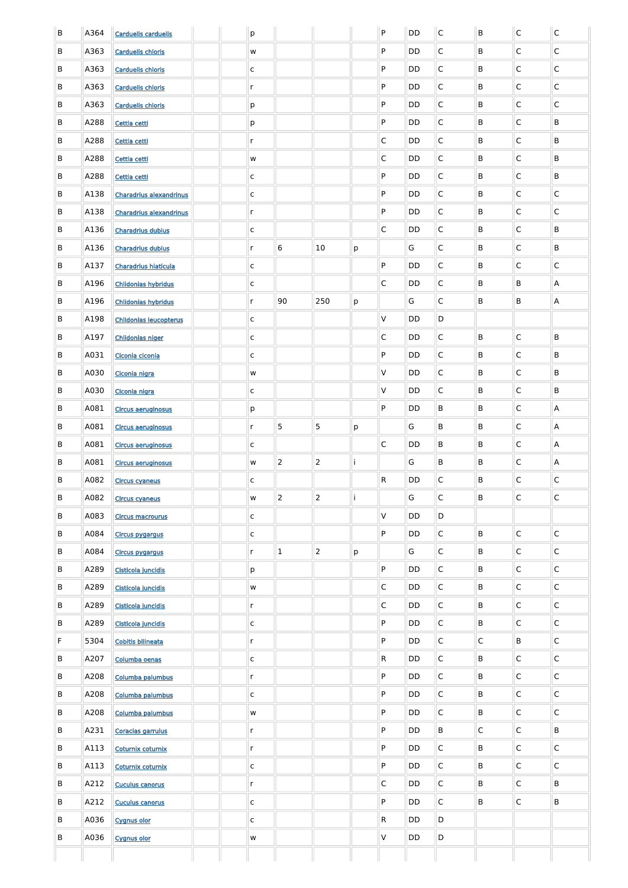| B | A364 | <b>Carduelis carduelis</b>     |  | $\mathsf{p}% _{T}$ |                |                 |   | P            | DD        | $\overline{\mathsf{C}}$ | B              | $\overline{C}$          | $\overline{\mathsf{C}}$ |
|---|------|--------------------------------|--|--------------------|----------------|-----------------|---|--------------|-----------|-------------------------|----------------|-------------------------|-------------------------|
| B | A363 | <b>Carduelis chloris</b>       |  | W                  |                |                 |   | P            | DD        | $\mathsf{C}$            | B              | $\mathsf{C}$            | $\overline{C}$          |
| B | A363 | <b>Carduelis chloris</b>       |  | $\mathsf{C}$       |                |                 |   | P            | DD        | $\mathsf{C}$            | B              | $\mathsf{C}$            | $\overline{C}$          |
| B | A363 | <b>Carduelis chloris</b>       |  | $\mathsf{r}$       |                |                 |   | P            | DD        | $\mathsf{C}$            | B              | $\mathsf{C}$            | $\overline{C}$          |
| B | A363 | <b>Carduelis chloris</b>       |  | р                  |                |                 |   | P            | DD        | $\mathsf{C}$            | B              | $\mathsf{C}$            | $\overline{C}$          |
| B | A288 | Cettia cetti                   |  | р                  |                |                 |   | P            | DD        | $\mathsf{C}$            | B              | C                       | B                       |
| B | A288 | Cettia cetti                   |  | $\mathsf{r}$       |                |                 |   | $\mathsf{C}$ | DD        | $\mathsf{C}$            | B              | $\mathsf C$             | B                       |
| B | A288 | Cettia cetti                   |  | W                  |                |                 |   | $\mathsf C$  | DD        | $\mathsf{C}$            | B              | $\mathsf{C}$            | B                       |
| B | A288 | Cettia cetti                   |  | $\mathsf{C}$       |                |                 |   | P            | DD        | $\mathsf{C}$            | B              | $\mathsf C$             | B                       |
| B | A138 | <b>Charadrius alexandrinus</b> |  | c                  |                |                 |   | P            | DD        | $\mathsf{C}$            | B              | $\mathsf{C}$            | $\overline{C}$          |
| B | A138 | <b>Charadrius alexandrinus</b> |  | $\mathsf{r}$       |                |                 |   | P            | DD        | $\mathsf{C}$            | B              | $\mathsf C$             | $\overline{C}$          |
| B | A136 | <b>Charadrius dubius</b>       |  | c                  |                |                 |   | $\mathsf{C}$ | DD        | $\mathsf{C}$            | B              | C                       | B                       |
| B | A136 | <b>Charadrius dubius</b>       |  | $\mathsf{r}$       | 6              | 10 <sup>°</sup> | p |              | G         | $\mathsf{C}$            | B              | $\overline{C}$          | B                       |
| B | A137 | <b>Charadrius hiaticula</b>    |  | c                  |                |                 |   | P            | DD        | $\mathsf{C}$            | B              | C                       | $\overline{\mathsf{C}}$ |
| B | A196 | <b>Chlidonias hybridus</b>     |  | c                  |                |                 |   | $\mathsf{C}$ | DD        | $\mathsf{C}$            | B              | B                       | $\mathsf{A}$            |
| B | A196 | <b>Chlidonias hybridus</b>     |  | $\mathsf{r}$       | 90             | 250             | p |              | G         | $\mathsf{C}$            | B              | B                       | A                       |
| B | A198 | <b>Chlidonias leucopterus</b>  |  | $\mathsf{C}$       |                |                 |   | V            | DD        | D                       |                |                         |                         |
| B | A197 | <b>Chlidonias niger</b>        |  | $\mathsf{C}$       |                |                 |   | C            | DD        | $\mathsf{C}$            | B              | $\overline{\mathsf{C}}$ | B                       |
| B | A031 | Ciconia ciconia                |  | c                  |                |                 |   | P            | DD        | $\mathsf{C}$            | B              | $\mathsf{C}$            | B                       |
| B | A030 | Ciconia nigra                  |  | W                  |                |                 |   | V            | DD        | $\mathsf C$             | B              | $\mathsf C$             | $\sf B$                 |
| B | A030 | Ciconia nigra                  |  | $\mathsf{C}$       |                |                 |   | V            | DD        | $\mathsf C$             | B              | $\mathsf C$             | $\sf B$                 |
| B | A081 | <b>Circus aeruginosus</b>      |  | $\mathsf{p}% _{T}$ |                |                 |   | P            | DD        | $\sf B$                 | B              | $\mathsf C$             | Α                       |
| B | A081 | <b>Circus aeruginosus</b>      |  | $\mathsf{r}$       | 5              | 5               | p |              | G         | $\sf B$                 | B              | $\mathsf C$             | Α                       |
| B | A081 | <b>Circus aeruginosus</b>      |  | $\mathsf{C}$       |                |                 |   | $\mathsf C$  | DD        | $\sf B$                 | B              | $\mathsf C$             | Α                       |
| B | A081 | <b>Circus aeruginosus</b>      |  | ${\mathsf W}$      | $\overline{2}$ | $\overline{2}$  |   |              | G         | $\sf B$                 | B              | $\mathsf C$             | Α                       |
| B | A082 | <b>Circus cyaneus</b>          |  | $\mathsf C$        |                |                 |   | ${\sf R}$    | DD        | $\mathsf C$             | B              | $\mathsf C$             | $\overline{C}$          |
| B | A082 | <b>Circus cyaneus</b>          |  | ${\mathsf W}$      | $\overline{2}$ | $\overline{2}$  |   |              | G         | $\mathsf C$             | B              | $\overline{C}$          | $\mathsf{C}$            |
| B | A083 | <b>Circus macrourus</b>        |  | $\mathsf C$        |                |                 |   | V            | DD        | D                       |                |                         |                         |
| B | A084 | <b>Circus pygargus</b>         |  | $\mathsf C$        |                |                 |   | P            | DD        | $\mathsf C$             | B              | $\overline{C}$          | $\mathsf{C}$            |
| B | A084 | <b>Circus pygargus</b>         |  | $\mathsf{r}$       | $\mathbf{1}$   | $\overline{2}$  | p |              | G         | $\mathsf C$             | B              | $\mathsf C$             | $\mathsf{C}$            |
| B | A289 | Cisticola juncidis             |  | р                  |                |                 |   | P            | DD        | $\mathsf C$             | B              | $\mathsf C$             | $\mathsf{C}$            |
| B | A289 | Cisticola juncidis             |  | ${\sf W}$          |                |                 |   | $\mathsf C$  | DD        | $\mathsf C$             | B              | $\mathsf C$             | $\mathsf{C}$            |
| B | A289 | Cisticola juncidis             |  | $\mathsf{r}$       |                |                 |   | $\mathsf C$  | DD        | $\mathsf C$             | B              | $\mathsf C$             | $\mathsf{C}$            |
| B | A289 | Cisticola juncidis             |  | $\mathsf C$        |                |                 |   | P            | DD        | $\mathsf C$             | B              | $\mathsf C$             | $\mathsf{C}$            |
| F | 5304 | <b>Cobitis bilineata</b>       |  | $\mathsf{r}$       |                |                 |   | P            | DD        | $\mathsf C$             | $\overline{C}$ | B                       | $\mathsf{C}$            |
| B | A207 | Columba oenas                  |  | $\mathsf{C}$       |                |                 |   | R            | DD        | $\mathsf C$             | B              | $\mathsf C$             | $\mathsf{C}$            |
| B | A208 | Columba palumbus               |  | $\mathsf{r}$       |                |                 |   | P            | DD        | $\mathsf{C}$            | B              | $\mathsf C$             | $\overline{\mathsf{C}}$ |
| B | A208 | Columba palumbus               |  | C                  |                |                 |   | P            | DD        | $\mathsf{C}$            | B              | C                       | IC.                     |
| B | A208 | Columba palumbus               |  | w                  |                |                 |   | P            | <b>DD</b> | $\mathsf C$             | $\sf B$        | $\overline{C}$          | $\overline{C}$          |
| B | A231 | Coracias garrulus              |  | $\mathsf{r}$       |                |                 |   | P            | DD        | $\mathsf B$             | $\overline{C}$ | $\overline{C}$          | B                       |
| B | A113 | Coturnix coturnix              |  | $\mathsf{r}$       |                |                 |   | P            | DD        | $\mathsf{C}$            | B              | $\overline{C}$          | $\overline{C}$          |
| B | A113 | Coturnix coturnix              |  | $\mathsf C$        |                |                 |   | P            | DD        | $\mathsf{C}$            | B              | $\overline{C}$          | $\overline{C}$          |
| B | A212 | <b>Cuculus canorus</b>         |  | $\mathsf{r}$       |                |                 |   | $\mathsf C$  | <b>DD</b> | $\mathsf C$             | B              | $\overline{C}$          | B                       |
| B | A212 | <b>Cuculus canorus</b>         |  | $\mathsf{C}$       |                |                 |   | P            | DD        | $\mathsf{C}$            | B              | $\overline{C}$          | B                       |
| B | A036 | <b>Cygnus olor</b>             |  | $\mathsf{C}$       |                |                 |   | R            | <b>DD</b> | D                       |                |                         |                         |
| B | A036 | <b>Cygnus olor</b>             |  | w                  |                |                 |   | V            | <b>DD</b> | $\mathsf D$             |                |                         |                         |
|   |      |                                |  |                    |                |                 |   |              |           |                         |                |                         |                         |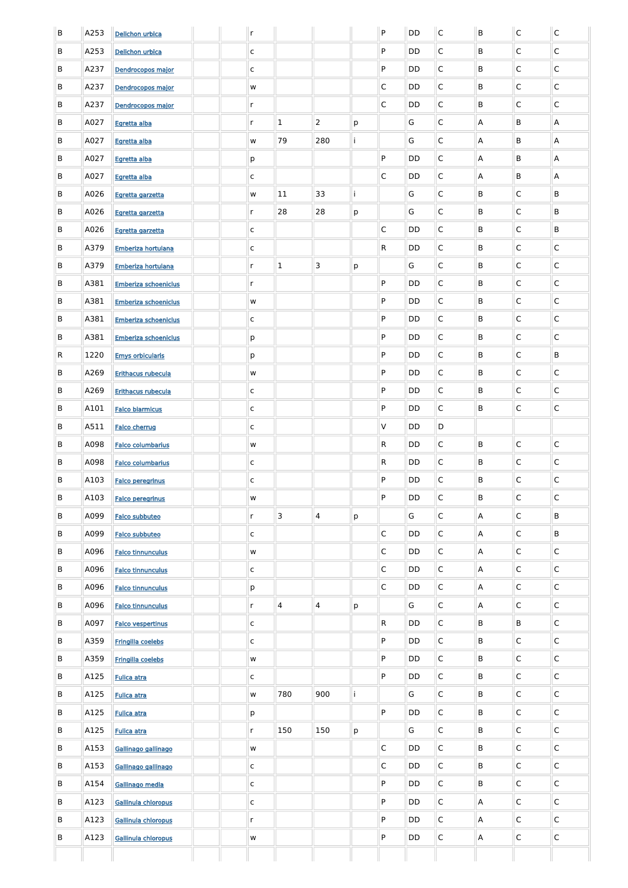| $\sf B$ | A253 | <b>Delichon urbica</b>      |  | $\mathsf{r}$ |                |                |   | P            | DD        | $\overline{C}$ | B | $\mathsf{C}$ | $\overline{C}$          |
|---------|------|-----------------------------|--|--------------|----------------|----------------|---|--------------|-----------|----------------|---|--------------|-------------------------|
| B       | A253 | Delichon urbica             |  | $\mathsf C$  |                |                |   | P            | DD        | $\mathsf{C}$   | B | C            | $\mathsf{C}$            |
| B       | A237 | Dendrocopos major           |  | $\mathsf C$  |                |                |   | P            | DD        | $\overline{C}$ | B | C            | $\mathsf{C}$            |
| B       | A237 | Dendrocopos major           |  | W            |                |                |   | $\mathsf{C}$ | DD        | $\overline{C}$ | B | C            | $\mathsf{C}$            |
| B       | A237 | Dendrocopos major           |  | $\mathsf{r}$ |                |                |   | $\mathsf{C}$ | DD        | $\overline{C}$ | B | C            | $\mathsf{C}$            |
| B       | A027 | Egretta alba                |  | $\mathsf{r}$ | $\mathbf{1}$   | $\overline{2}$ | p |              | G         | $\overline{C}$ | A | B            | A                       |
| B       | A027 | Egretta alba                |  | w            | 79             | 280            |   |              | G         | $\mathsf{C}$   | A | B            | A                       |
| B       | A027 | Egretta alba                |  | p            |                |                |   | P            | DD        | $\overline{C}$ | A | B            | A                       |
| B       | A027 | Egretta alba                |  | C            |                |                |   | $\mathsf{C}$ | DD        | $\overline{C}$ | A | B            | A                       |
| B       | A026 | Egretta garzetta            |  | W            | 11             | 33             |   |              | G         | $\mathsf{C}$   | B | C            | B                       |
| B       | A026 | Egretta garzetta            |  | $\mathsf{r}$ | 28             | 28             | p |              | G         | $\mathsf{C}$   | B | C            | B                       |
| B       | A026 | Egretta garzetta            |  | C            |                |                |   | $\mathsf{C}$ | DD        | $\overline{C}$ | B | C            | B                       |
| B       | A379 | Emberiza hortulana          |  | $\mathsf C$  |                |                |   | R            | DD        | $\overline{C}$ | B | C            | C                       |
| B       | A379 | Emberiza hortulana          |  | $\mathsf{r}$ | $\mathbf{1}$   | 3              | p |              | G         | $\overline{C}$ | B | C            | $\mathsf{C}$            |
| B       | A381 | <b>Emberiza schoeniclus</b> |  | $\mathsf{r}$ |                |                |   | P            | DD        | $\overline{C}$ | B | C            | $\mathsf{C}$            |
| B       | A381 | <b>Emberiza schoeniclus</b> |  | w            |                |                |   | P            | DD        | $\overline{C}$ | B | C            | $\mathsf{C}$            |
| B       | A381 | <b>Emberiza schoeniclus</b> |  | C            |                |                |   | P            | DD        | $\overline{C}$ | B | C            | $\mathsf{C}$            |
| B       | A381 | <b>Emberiza schoeniclus</b> |  | p            |                |                |   | P            | DD        | $\overline{C}$ | B | C            | $\mathsf{C}$            |
| R       | 1220 | <b>Emys orbicularis</b>     |  | p            |                |                |   | P            | DD        | $\mathsf C$    | B | $\mathsf C$  | B                       |
| B       | A269 | <b>Erithacus rubecula</b>   |  | W            |                |                |   | P            | DD        | $\overline{C}$ | B | $\mathsf C$  | $\overline{\mathsf{C}}$ |
| В       | A269 | <b>Erithacus rubecula</b>   |  | $\mathsf{C}$ |                |                |   | P            | DD        | $\overline{C}$ | B | $\mathsf C$  | $\overline{C}$          |
| В       | A101 | <b>Falco biarmicus</b>      |  | $\mathsf{C}$ |                |                |   | P            | DD        | $\overline{C}$ | B | $\mathsf C$  | $\overline{C}$          |
| В       | A511 | <b>Falco cherrug</b>        |  | $\mathsf{C}$ |                |                |   | V            | DD        | D              |   |              |                         |
| В       | A098 | <b>Falco columbarius</b>    |  | W            |                |                |   | ${\sf R}$    | DD        | $\overline{C}$ | B | $\mathsf C$  | $\overline{C}$          |
| B       | A098 | <b>Falco columbarius</b>    |  | $\mathsf{C}$ |                |                |   | ${\sf R}$    | DD        | $\overline{C}$ | B | $\mathsf C$  | $\overline{C}$          |
| В       | A103 | <b>Falco peregrinus</b>     |  | $\mathsf{C}$ |                |                |   | P            | DD        | $\overline{C}$ | B | $\mathsf C$  | $\overline{C}$          |
| В       | A103 | <b>Falco peregrinus</b>     |  | W            |                |                |   | P            | DD        | $\overline{C}$ | B | $\mathsf C$  | $\overline{C}$          |
| В       | A099 | <b>Falco subbuteo</b>       |  | $\mathsf{r}$ | 3              | $\vert$ 4      | p |              | G         | $\overline{C}$ | A | $\mathsf C$  | B                       |
| В       | A099 | <b>Falco subbuteo</b>       |  | $\mathsf{C}$ |                |                |   | $\mathsf C$  | <b>DD</b> | $\overline{C}$ | A | $\mathsf C$  | B                       |
| В       | A096 | <b>Falco tinnunculus</b>    |  | W            |                |                |   | $\mathsf C$  | DD        | $\mathsf{C}$   | A | $\mathsf C$  | $\overline{C}$          |
| B       | A096 | <b>Falco tinnunculus</b>    |  | $\mathsf{C}$ |                |                |   | $\mathsf C$  | DD        | $\overline{C}$ | A | $\mathsf C$  | $\overline{C}$          |
| В       | A096 | <b>Falco tinnunculus</b>    |  | p            |                |                |   | $\mathsf C$  | DD        | $\overline{C}$ | A | $\mathsf C$  | $\overline{C}$          |
| В       | A096 | <b>Falco tinnunculus</b>    |  | $\mathsf{r}$ | $\overline{4}$ | $\vert$ 4      | p |              | G         | $\overline{C}$ | A | $\mathsf C$  | $\overline{C}$          |
| В       | A097 | <b>Falco vespertinus</b>    |  | $\mathsf{C}$ |                |                |   | ${\sf R}$    | <b>DD</b> | $\overline{C}$ | B | B            | $\overline{C}$          |
| В       | A359 | Fringilla coelebs           |  | $\mathsf{C}$ |                |                |   | P            | DD        | $\overline{C}$ | B | $\mathsf C$  | $\overline{C}$          |
| В       | A359 | Fringilla coelebs           |  | W            |                |                |   | P            | DD        | $\overline{C}$ | B | $\mathsf C$  | $\overline{C}$          |
| В       | A125 | <b>Fulica atra</b>          |  | $\mathsf{C}$ |                |                |   | P            | DD        | $\overline{C}$ | B | $\mathsf C$  | $\overline{C}$          |
| B       | A125 | <b>Fulica atra</b>          |  | W            | 780            | 900            |   |              | G         | $\mathsf{C}$   | B | C            | C                       |
| B       | A125 | <b>Fulica atra</b>          |  | p            |                |                |   | P            | <b>DD</b> | $\overline{C}$ | B | $\mathsf C$  | $\overline{C}$          |
| B       | A125 | <b>Fulica atra</b>          |  | $\mathsf{r}$ | 150            | 150            | p |              | G         | $\overline{C}$ | B | $\mathsf C$  | $\overline{C}$          |
| B       | A153 | Gallinago gallinago         |  | W            |                |                |   | $\mathsf{C}$ | <b>DD</b> | $\overline{C}$ | B | $\mathsf C$  | $\overline{C}$          |
| B       | A153 | Gallinago gallinago         |  | $\mathsf C$  |                |                |   | $\mathsf C$  | DD        | $\overline{C}$ | B | $\mathsf C$  | $\overline{C}$          |
| B       | A154 | Gallinago media             |  | $\mathsf C$  |                |                |   | P            | <b>DD</b> | $\overline{C}$ | B | $\mathsf C$  | $\overline{C}$          |
| B       | A123 | Gallinula chloropus         |  | $\mathsf C$  |                |                |   | P            | DD        | $\overline{C}$ | A | $\mathsf C$  | $\overline{C}$          |
| B       | A123 | Gallinula chloropus         |  | $\mathsf{r}$ |                |                |   | P            | DD        | $\overline{C}$ | A | $\mathsf C$  | $\overline{C}$          |
| B       | A123 | Gallinula chloropus         |  | W            |                |                |   | P            | <b>DD</b> | $\overline{C}$ | A | $\mathsf C$  | $\overline{C}$          |
|         |      |                             |  |              |                |                |   |              |           |                |   |              |                         |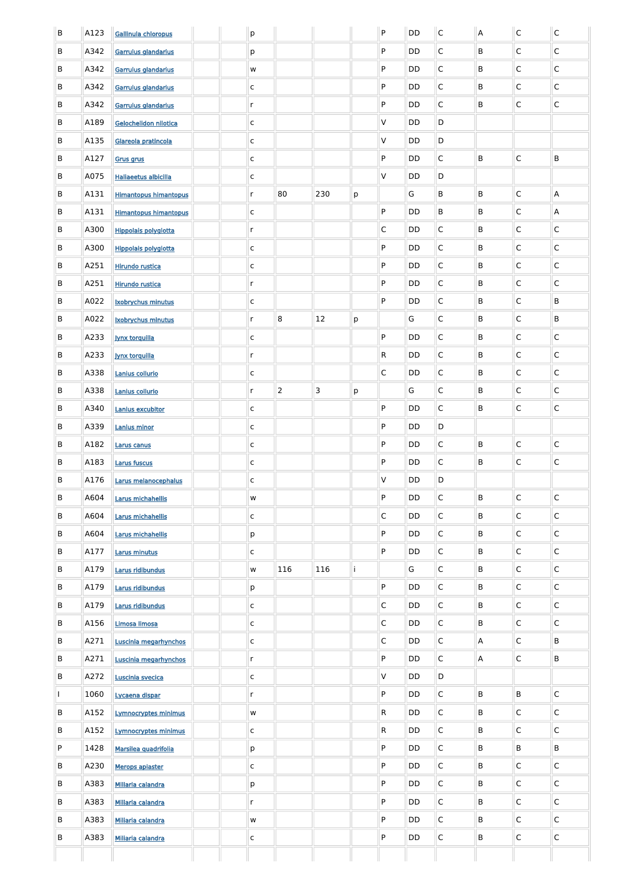| B  | A123 | Gallinula chloropus          |  | p             |                |                |   | P                       | DD        | $\mathsf C$  | $\overline{A}$ | $\mathsf{C}$ | $\mathsf C$               |
|----|------|------------------------------|--|---------------|----------------|----------------|---|-------------------------|-----------|--------------|----------------|--------------|---------------------------|
| B  | A342 | Garrulus glandarius          |  | р             |                |                |   | P                       | DD        | C            | B              | $\mathsf{C}$ | $\mathsf C$               |
| B  | A342 | Garrulus glandarius          |  | ${\sf W}$     |                |                |   | P                       | DD        | C            | B              | $\mathsf{C}$ | $\mathsf C$               |
| B  | A342 | Garrulus glandarius          |  | $\mathsf C$   |                |                |   | P                       | DD        | C            | B              | $\mathsf{C}$ | $\mathsf C$               |
| B  | A342 | Garrulus glandarius          |  | $\mathsf{r}$  |                |                |   | P                       | DD        | C            | B              | $\mathsf{C}$ | $\mathsf C$               |
| B  | A189 | Gelochelidon nilotica        |  | $\mathsf{C}$  |                |                |   | $\vee$                  | DD        | D            |                |              |                           |
| B  | A135 | Glareola pratincola          |  | $\mathsf{C}$  |                |                |   | $\vee$                  | DD        | D            |                |              |                           |
| B  | A127 | <b>Grus grus</b>             |  | $\mathsf{C}$  |                |                |   | P                       | DD        | $\mathsf{C}$ | B              | $\mathsf C$  | B                         |
| B  | A075 | <b>Haliaeetus albicilla</b>  |  | C             |                |                |   | $\vee$                  | DD        | D            |                |              |                           |
| B  | A131 | <b>Himantopus himantopus</b> |  | $\mathsf{r}$  | 80             | 230            | p |                         | G         | B            | B              | $\mathsf{C}$ | $\boldsymbol{\mathsf{A}}$ |
| B  | A131 | <b>Himantopus himantopus</b> |  | C             |                |                |   | P                       | DD        | B            | B              | $\mathsf{C}$ | A                         |
| B  | A300 | <b>Hippolais polyglotta</b>  |  | $\mathsf{r}$  |                |                |   | $\mathsf{C}$            | DD        | $\mathsf{C}$ | B              | $\mathsf{C}$ | $\mathsf{C}$              |
| B  | A300 | <b>Hippolais polyglotta</b>  |  | $\mathsf{C}$  |                |                |   | P                       | DD        | $\mathsf{C}$ | B              | $\mathsf{C}$ | C                         |
| B  | A251 | <b>Hirundo rustica</b>       |  | $\mathsf{C}$  |                |                |   | P                       | DD        | $\mathsf{C}$ | B              | $\mathsf{C}$ | $\mathsf{C}$              |
| B  | A251 | <b>Hirundo rustica</b>       |  | $\mathsf{r}$  |                |                |   | P                       | DD        | $\mathsf{C}$ | B              | $\mathsf{C}$ | C                         |
| B  | A022 | <b>Ixobrychus minutus</b>    |  | C             |                |                |   | P                       | DD        | $\mathsf{C}$ | B              | $\mathsf{C}$ | B                         |
| B  | A022 | Ixobrychus minutus           |  | $\mathsf{r}$  | 8              | <b>12</b>      | p |                         | G         | $\mathsf{C}$ | B              | $\mathsf{C}$ | B                         |
| B  | A233 | <b>Jynx torquilla</b>        |  | C             |                |                |   | P                       | DD        | C            | B              | $\mathsf{C}$ | $\mathsf{C}$              |
| B. | A233 | <b>Jynx torquilla</b>        |  | $\mathsf{r}$  |                |                |   | R                       | DD        | $\mathsf{C}$ | B              | $\mathsf{C}$ | $\mathsf{C}$              |
| B  | A338 | Lanius collurio              |  | $\mathsf C$   |                |                |   | $\overline{\mathsf{C}}$ | DD        | $\mathsf C$  | B              | $\mathsf C$  | $\mathsf C$               |
| B  | A338 | Lanius collurio              |  | $\mathsf{r}$  | $\overline{2}$ | $\overline{3}$ | p |                         | G         | $\mathsf C$  | B              | $\mathsf C$  | $\mathsf C$               |
| B  | A340 | Lanius excubitor             |  | $\mathsf C$   |                |                |   | ${\sf P}$               | DD        | $\mathsf C$  | B              | $\mathsf C$  | $\mathsf C$               |
| B  | A339 | <b>Lanius minor</b>          |  | $\mathsf C$   |                |                |   | P                       | DD        | D            |                |              |                           |
| B  | A182 | Larus canus                  |  | $\mathsf C$   |                |                |   | P                       | DD        | $\mathsf C$  | B              | $\mathsf C$  | $\mathsf C$               |
| B  | A183 | <b>Larus fuscus</b>          |  | $\mathsf C$   |                |                |   | P                       | DD        | $\mathsf C$  | B              | $\mathsf C$  | $\mathsf C$               |
| B  | A176 | Larus melanocephalus         |  | $\mathsf C$   |                |                |   | $\vee$                  | DD        | D            |                |              |                           |
| B  | A604 | Larus michahellis            |  | ${\mathsf W}$ |                |                |   | P                       | DD        | $\mathsf C$  | B              | $\mathsf C$  | $\mathsf{C}$              |
| B  | A604 | Larus michahellis            |  | $\mathsf C$   |                |                |   | $\overline{\mathsf{C}}$ | DD        | $\mathsf C$  | B              | $\mathsf C$  | $\mathsf{C}$              |
| B  | A604 | Larus michahellis            |  | p             |                |                |   | P                       | DD        | $\mathsf C$  | B              | $\mathsf C$  | $\mathsf C$               |
| B  | A177 | <b>Larus minutus</b>         |  | $\mathsf C$   |                |                |   | P                       | DD        | $\mathsf C$  | B              | $\mathsf C$  | $\mathsf C$               |
| B  | A179 | Larus ridibundus             |  | ${\sf W}$     | 116            | 116            |   |                         | G         | $\mathsf C$  | B              | $\mathsf C$  | $\mathsf C$               |
| B  | A179 | Larus ridibundus             |  | p             |                |                |   | P                       | DD        | $\mathsf C$  | B              | $\mathsf C$  | $\mathsf C$               |
| B  | A179 | Larus ridibundus             |  | $\mathsf C$   |                |                |   | $\overline{\mathsf{C}}$ | DD        | $\mathsf C$  | B              | $\mathsf C$  | $\mathsf C$               |
| B  | A156 | Limosa limosa                |  | $\mathsf C$   |                |                |   | $\overline{\mathsf{C}}$ | DD        | $\mathsf C$  | B              | $\mathsf C$  | $\mathsf C$               |
| B  | A271 | Luscinia megarhynchos        |  | $\mathsf C$   |                |                |   | $\overline{\mathsf{C}}$ | DD        | $\mathsf C$  | $\overline{A}$ | $\mathsf C$  | B                         |
| B  | A271 | Luscinia megarhynchos        |  | $\mathsf{r}$  |                |                |   | P                       | DD        | $\mathsf C$  | $\overline{A}$ | $\mathsf C$  | $\sf B$                   |
| B  | A272 | Luscinia svecica             |  | $\mathsf{C}$  |                |                |   | $\sf V$                 | DD        | D            |                |              |                           |
|    | 1060 | Lycaena dispar               |  | r             |                |                |   | P                       | DD        | $\mathsf{C}$ | B              | B            | C                         |
| B  | A152 | <b>Lymnocryptes minimus</b>  |  | ${\sf W}$     |                |                |   | R                       | <b>DD</b> | $\mathsf C$  | B              | $\mathsf{C}$ | $\mathsf{C}$              |
| B  | A152 | <b>Lymnocryptes minimus</b>  |  | $\mathsf{C}$  |                |                |   | R                       | <b>DD</b> | $\mathsf C$  | B              | $\mathsf{C}$ | $\mathsf{C}$              |
| P  | 1428 | Marsilea quadrifolia         |  | p             |                |                |   | P                       | DD        | $\mathsf{C}$ | B              | B            | $\mathsf{B}$              |
| B  | A230 | Merops apiaster              |  | $\mathsf{C}$  |                |                |   | P                       | <b>DD</b> | $\mathsf C$  | B              | $\mathsf C$  | $\mathsf{C}$              |
| B  | A383 | <b>Miliaria calandra</b>     |  | p             |                |                |   | P                       | DD        | $\mathsf{C}$ | B              | $\mathsf{C}$ | $\mathsf{C}$              |
| B  | A383 | Miliaria calandra            |  | $\mathsf{r}$  |                |                |   | P                       | DD        | $\mathsf{C}$ | B              | $\mathsf C$  | $\mathsf{C}$              |
| B  | A383 | Miliaria calandra            |  | ${\sf W}$     |                |                |   | P                       | DD        | $\mathsf{C}$ | B              | $\mathsf{C}$ | $\mathsf{C}$              |
| B  | A383 | Miliaria calandra            |  | $\mathsf C$   |                |                |   | P                       | <b>DD</b> | $\mathsf C$  | B              | $\mathsf C$  | $\mathsf C$               |
|    |      |                              |  |               |                |                |   |                         |           |              |                |              |                           |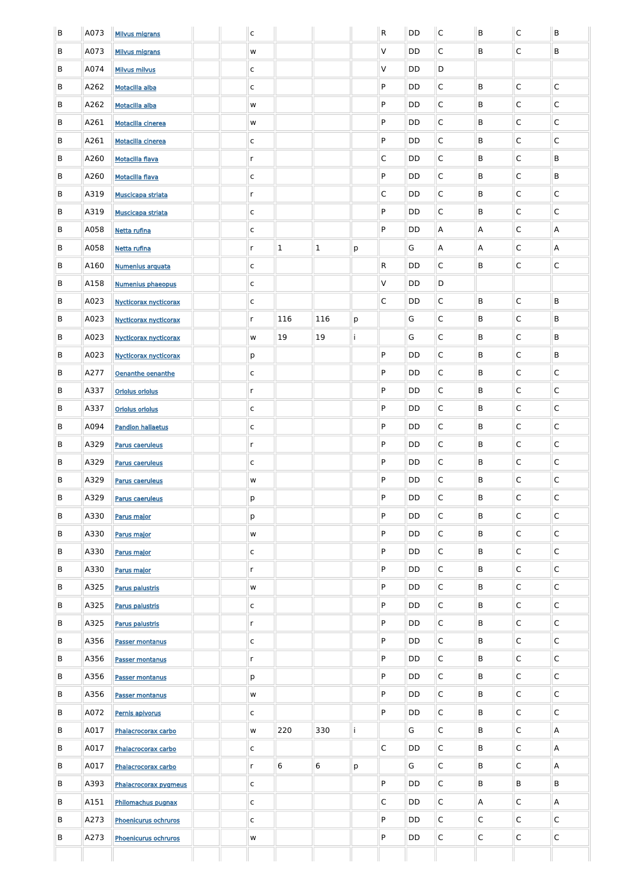| B | A073 | <b>Milvus migrans</b>        |  | $\mathsf{c}$ |              |              |   | $\mathsf{R}$ | <b>DD</b> | $\mathsf{C}$ | B              | $\mathsf C$             | $\sf B$                 |
|---|------|------------------------------|--|--------------|--------------|--------------|---|--------------|-----------|--------------|----------------|-------------------------|-------------------------|
| B | A073 | <b>Milvus migrans</b>        |  | w            |              |              |   | V            | DD        | $\mathsf{C}$ | B              | $\mathsf{C}$            | B                       |
| B | A074 | <b>Milvus milvus</b>         |  | $\mathsf{C}$ |              |              |   | V            | DD        | D            |                |                         |                         |
| B | A262 | Motacilla alba               |  | $\mathsf{C}$ |              |              |   | P            | DD        | $\mathsf{C}$ | B              | $\mathsf{C}$            | $\overline{C}$          |
| B | A262 | Motacilla alba               |  | w            |              |              |   | P            | DD        | $\mathsf{C}$ | B              | $\overline{C}$          | $\overline{C}$          |
| B | A261 | <b>Motacilla cinerea</b>     |  | w            |              |              |   | P            | DD        | $\mathsf{C}$ | B              | $\overline{C}$          | $\overline{C}$          |
| B | A261 | <b>Motacilla cinerea</b>     |  | $\mathsf{C}$ |              |              |   | P            | DD        | $\mathsf{C}$ | B              | $\overline{\mathsf{C}}$ | $\overline{C}$          |
| B | A260 | <b>Motacilla flava</b>       |  | $\mathsf{r}$ |              |              |   | $\mathsf{C}$ | DD        | $\mathsf{C}$ | B              | $\overline{C}$          | B                       |
| B | A260 | <b>Motacilla flava</b>       |  | $\mathsf{C}$ |              |              |   | P            | DD        | $\mathsf{C}$ | B              | $\overline{\mathsf{C}}$ | B                       |
| B | A319 | <b>Muscicapa striata</b>     |  | $\mathsf{r}$ |              |              |   | $\mathsf{C}$ | DD        | $\mathsf{C}$ | B              | $\mathsf{C}$            | $\mathsf{C}$            |
| B | A319 | <b>Muscicapa striata</b>     |  | $\mathsf{C}$ |              |              |   | P            | DD        | $\mathsf{C}$ | B              | $\overline{\mathsf{C}}$ | $\overline{\mathsf{C}}$ |
| B | A058 | Netta rufina                 |  | $\mathsf{C}$ |              |              |   | P            | DD        | A            | $\mathsf{A}$   | $\mathsf{C}$            | $\mathsf{A}$            |
| B | A058 | Netta rufina                 |  | $\mathsf{r}$ | $\mathbf{1}$ | $\mathbf{1}$ | p |              | G         | A            | $\mathsf{A}$   | $\mathsf{C}$            | A                       |
| B | A160 | Numenius arquata             |  | $\mathsf{C}$ |              |              |   | R            | DD        | $\mathsf{C}$ | B              | $\mathsf{C}$            | $\overline{\mathsf{C}}$ |
| B | A158 | <b>Numenius phaeopus</b>     |  | $\mathsf{C}$ |              |              |   | V            | DD        | D            |                |                         |                         |
| B | A023 | <b>Nycticorax nycticorax</b> |  | C            |              |              |   | $\mathsf{C}$ | DD        | $\mathsf{C}$ | B              | $\overline{\mathsf{C}}$ | B                       |
| B | A023 | <b>Nycticorax nycticorax</b> |  | $\mathsf{r}$ | 116          | 116          | p |              | G         | $\mathsf{C}$ | B              | $\mathsf{C}$            | B                       |
| B | A023 | Nycticorax nycticorax        |  | w            | 19           | 19           |   |              | G         | $\mathsf{C}$ | B              | $\mathsf{C}$            | B                       |
| B | A023 | Nycticorax nycticorax        |  | p            |              |              |   | P            | DD        | $\mathsf C$  | B              | $\mathsf C$             | B                       |
| B | A277 | Oenanthe oenanthe            |  | $\mathsf{C}$ |              |              |   | P            | DD        | $\mathsf C$  | B              | $\overline{\mathsf{C}}$ | $\overline{C}$          |
| B | A337 | <b>Oriolus oriolus</b>       |  | $\mathsf{r}$ |              |              |   | P            | DD        | $\mathsf C$  | B              | $\overline{C}$          | $\overline{C}$          |
| B | A337 | <b>Oriolus oriolus</b>       |  | $\mathsf{C}$ |              |              |   | P            | DD        | $\mathsf C$  | B              | $\mathsf{C}$            | $\overline{C}$          |
| B | A094 | <b>Pandion haliaetus</b>     |  | $\mathsf{C}$ |              |              |   | P            | DD        | $\mathsf C$  | B              | $\overline{C}$          | $\overline{C}$          |
| B | A329 | <b>Parus caeruleus</b>       |  | $\mathsf{r}$ |              |              |   | P            | DD        | $\mathsf C$  | B              | $\overline{C}$          | $\overline{C}$          |
| B | A329 | <b>Parus caeruleus</b>       |  | $\mathsf{C}$ |              |              |   | P            | DD        | $\mathsf C$  | B              | $\mathsf{C}$            | $\overline{C}$          |
| B | A329 | <b>Parus caeruleus</b>       |  | W            |              |              |   | P            | DD        | $\mathsf C$  | B              | $\overline{C}$          | $\overline{C}$          |
| B | A329 | <b>Parus caeruleus</b>       |  | p            |              |              |   | P            | DD        | $\mathsf C$  | B              | $\overline{C}$          | $\overline{C}$          |
| B | A330 | Parus major                  |  | p            |              |              |   | P            | DD        | $\mathsf C$  | B              | $\overline{C}$          | $\overline{C}$          |
| B | A330 | Parus major                  |  | W            |              |              |   | P            | DD        | $\mathsf C$  | B              | $\overline{C}$          | $\overline{\mathsf{C}}$ |
| B | A330 | Parus major                  |  | $\mathsf{C}$ |              |              |   | P            | DD        | $\mathsf C$  | B              | $\overline{C}$          | $\overline{\mathsf{C}}$ |
| B | A330 | Parus major                  |  | $r_{\rm}$    |              |              |   | P            | DD        | $\mathsf C$  | B              | $\overline{C}$          | $\overline{C}$          |
| B | A325 | <b>Parus palustris</b>       |  | W            |              |              |   | P            | DD        | $\mathsf C$  | B              | $\overline{C}$          | $\overline{\mathsf{C}}$ |
| B | A325 | <b>Parus palustris</b>       |  | $\mathsf{C}$ |              |              |   | P            | DD        | $\mathsf C$  | B              | $\overline{C}$          | $\overline{C}$          |
| B | A325 | <b>Parus palustris</b>       |  | $\mathsf{r}$ |              |              |   | P            | DD        | $\mathsf C$  | B              | $\overline{C}$          | $\overline{C}$          |
| B | A356 | <b>Passer montanus</b>       |  | $\mathsf{C}$ |              |              |   | P            | DD        | $\mathsf C$  | B              | $\overline{C}$          | $\overline{C}$          |
| B | A356 | <b>Passer montanus</b>       |  | $r_{\rm}$    |              |              |   | P            | <b>DD</b> | $\mathsf C$  | B              | $\overline{C}$          | $\overline{C}$          |
| B | A356 | <b>Passer montanus</b>       |  | p            |              |              |   | P            | DD        | $\mathsf C$  | B              | $\mathsf C$             | $\mathsf C$             |
| B | A356 | <b>Passer montanus</b>       |  | ${\sf W}$    |              |              |   | P.           | DD        | C            | В              | C                       | C                       |
| B | A072 | Pernis apivorus              |  | $\mathsf{C}$ |              |              |   | P            | <b>DD</b> | $\mathsf{C}$ | B              | $\overline{C}$          | $\overline{C}$          |
| B | A017 | Phalacrocorax carbo          |  | W            | 220          | 330          |   |              | G         | $\mathsf{C}$ | B              | $\overline{C}$          | $\overline{A}$          |
| B | A017 | Phalacrocorax carbo          |  | $\mathsf{C}$ |              |              |   | $\mathsf{C}$ | <b>DD</b> | $\mathsf{C}$ | B              | $\mathsf{C}$            | $\overline{A}$          |
| B | A017 | Phalacrocorax carbo          |  | $\mathsf{r}$ | 6            | 6            | p |              | G         | $\mathsf{C}$ | B              | $\overline{C}$          | $\overline{A}$          |
| B | A393 | Phalacrocorax pygmeus        |  | $\mathsf{C}$ |              |              |   | P            | <b>DD</b> | $\mathsf{C}$ | B              | B                       | B                       |
| B | A151 | Philomachus pugnax           |  | $\mathsf{C}$ |              |              |   | C            | <b>DD</b> | $\mathsf{C}$ | $\mathsf{A}$   | $\mathsf{C}$            | $\overline{A}$          |
| B | A273 | Phoenicurus ochruros         |  | $\mathsf{C}$ |              |              |   | P            | <b>DD</b> | $\mathsf{C}$ | $\mathsf{C}$   | $\overline{C}$          | $\overline{C}$          |
| B | A273 | Phoenicurus ochruros         |  | W            |              |              |   | P            | <b>DD</b> | $\mathsf{C}$ | $\overline{C}$ | $\overline{C}$          | $\overline{C}$          |
|   |      |                              |  |              |              |              |   |              |           |              |                |                         |                         |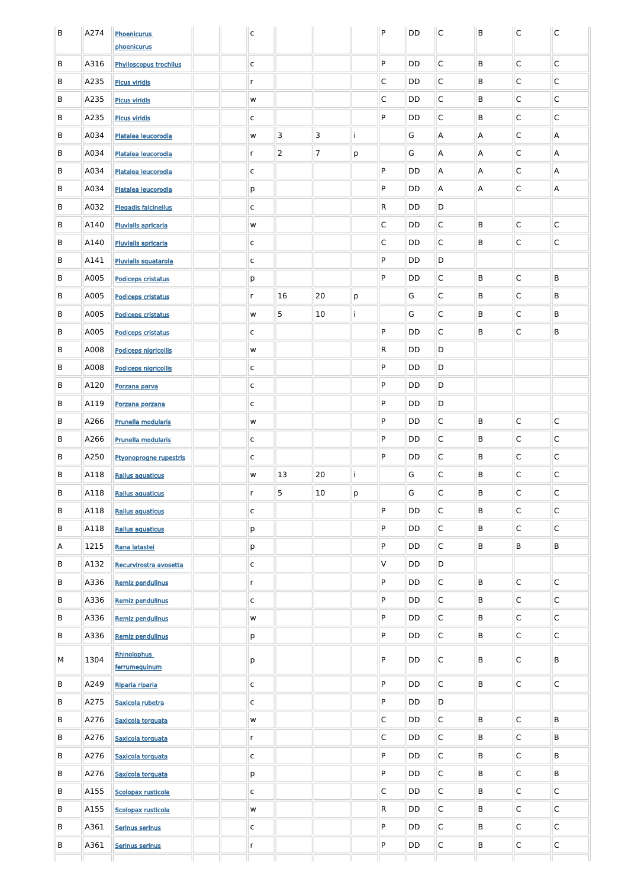| B | A274 | <b>Phoenicurus</b>               |  | $\mathsf{C}$      |                |    |   | P            | <b>DD</b> | $\mathsf C$  | B | $\mathsf C$             | $\mathsf C$             |
|---|------|----------------------------------|--|-------------------|----------------|----|---|--------------|-----------|--------------|---|-------------------------|-------------------------|
|   |      | phoenicurus                      |  |                   |                |    |   |              |           |              |   |                         |                         |
| B | A316 | <b>Phylloscopus trochilus</b>    |  | $\mathsf{C}$      |                |    |   | P            | DD        | $\mathsf C$  | B | C                       | $\mathsf C$             |
| B | A235 | <b>Picus viridis</b>             |  | $\mathsf{r}$      |                |    |   | C            | DD        | $\mathsf C$  | B | C                       | $\mathsf C$             |
| B | A235 | <b>Picus viridis</b>             |  | W                 |                |    |   | $\mathsf C$  | DD        | $\mathsf C$  | B | C                       | $\mathsf C$             |
| B | A235 | <b>Picus viridis</b>             |  | $\mathsf{C}$      |                |    |   | P            | DD        | $\mathsf C$  | B | C                       | $\mathsf C$             |
| B | A034 | Platalea leucorodia              |  | W                 | 3              | 3  | т |              | G         | Α            | A | C                       | A                       |
| B | A034 | Platalea leucorodia              |  | $\mathsf{r}$      | $\overline{2}$ | 7  | р |              | G         | Α            | A | C                       | A                       |
| B | A034 | Platalea leucorodia              |  | $\mathsf{C}$      |                |    |   | P            | <b>DD</b> | Α            | A | C                       | A                       |
| B | A034 | Platalea leucorodia              |  | p                 |                |    |   | P            | DD        | Α            | A | $\mathsf C$             | A                       |
| B | A032 | <b>Plegadis falcinellus</b>      |  | $\mathsf{C}$      |                |    |   | R            | DD        | D            |   |                         |                         |
| B | A140 | <b>Pluvialis apricaria</b>       |  | w                 |                |    |   | $\mathsf C$  | DD        | $\mathsf C$  | B | $\mathsf C$             | $\mathsf C$             |
| B | A140 | <b>Pluvialis apricaria</b>       |  | $\mathsf{C}$      |                |    |   | $\mathsf C$  | DD        | $\mathsf C$  | B | $\mathsf C$             | $\mathsf C$             |
| B | A141 | <b>Pluvialis squatarola</b>      |  | $\mathsf{C}$      |                |    |   | P            | <b>DD</b> | D            |   |                         |                         |
| B | A005 | <b>Podiceps cristatus</b>        |  | p                 |                |    |   | P            | DD        | $\mathsf C$  | B | $\mathsf C$             | B                       |
| B | A005 | <b>Podiceps cristatus</b>        |  | $\mathsf{r}$      | 16             | 20 | p |              | G         | $\mathsf C$  | B | C                       | B                       |
| B | A005 | <b>Podiceps cristatus</b>        |  | w                 | 5              | 10 |   |              | G         | $\mathsf C$  | B | $\mathsf C$             | B                       |
| B | A005 | <b>Podiceps cristatus</b>        |  | C                 |                |    |   | P            | <b>DD</b> | $\mathsf C$  | B | C                       | B                       |
| B | A008 | <b>Podiceps nigricollis</b>      |  | W                 |                |    |   | R            | <b>DD</b> | D            |   |                         |                         |
| B | A008 | Podiceps nigricollis             |  | $\mathsf{C}$      |                |    |   | P            | <b>DD</b> | D            |   |                         |                         |
| B | A120 | Porzana parva                    |  | $\mathsf{C}$      |                |    |   | P            | <b>DD</b> | D            |   |                         |                         |
| B | A119 | Porzana porzana                  |  | $\mathsf{C}$      |                |    |   | P            | <b>DD</b> | D            |   |                         |                         |
| B | A266 | <b>Prunella modularis</b>        |  | w                 |                |    |   | P            | DD        | $\mathsf{C}$ | B | $\overline{\mathsf{C}}$ | $\overline{\mathsf{C}}$ |
| B | A266 | <b>Prunella modularis</b>        |  | $\mathsf{C}$      |                |    |   | P            | <b>DD</b> | $\mathsf{C}$ | B | $\overline{C}$          | $\overline{C}$          |
| B | A250 | Ptyonoprogne rupestris           |  | $\mathsf{C}$      |                |    |   | P            | <b>DD</b> | $\mathsf{C}$ | B | $\overline{C}$          | $\overline{\mathsf{C}}$ |
| B | A118 | <b>Rallus aquaticus</b>          |  | W                 | 13             | 20 |   |              | G         | $\mathsf{C}$ | B | $\overline{C}$          | $\overline{C}$          |
| B | A118 | <b>Rallus aquaticus</b>          |  | $\mathsf{r}$      | 5              | 10 | p |              | G         | $\mathsf{C}$ | B | $\overline{\mathsf{C}}$ | $\overline{C}$          |
| B | A118 | <b>Rallus aquaticus</b>          |  | $\mathsf{C}$      |                |    |   | P            | <b>DD</b> | $\mathsf{C}$ | B | $\overline{C}$          | $\overline{C}$          |
| B | A118 | <b>Rallus aquaticus</b>          |  | p                 |                |    |   | P            | <b>DD</b> | $\mathsf{C}$ | B | $\overline{\mathsf{C}}$ | $\overline{C}$          |
| A | 1215 | Rana latastei                    |  | p                 |                |    |   | P            | <b>DD</b> | $\mathsf{C}$ | B | B                       | B                       |
| B | A132 | Recurvirostra avosetta           |  | $\mathsf{C}$      |                |    |   | V            | DD        | $\mathsf D$  |   |                         |                         |
| B | A336 | Remiz pendulinus                 |  | $\mathsf{r}$      |                |    |   | P            | DD        | $\mathsf{C}$ | B | $\overline{C}$          | $\overline{C}$          |
| B | A336 | Remiz pendulinus                 |  | C                 |                |    |   | P            | DD        | $\mathsf{C}$ | B | $\overline{\mathsf{C}}$ | $\overline{C}$          |
| B | A336 | Remiz pendulinus                 |  | W                 |                |    |   | P            | DD        | $\mathsf{C}$ | B | $\overline{C}$          | $\overline{C}$          |
| B | A336 | Remiz pendulinus                 |  | p                 |                |    |   | P            | <b>DD</b> | $\mathsf{C}$ | B | $\overline{\mathsf{C}}$ | $\overline{C}$          |
| М | 1304 | <b>Rhinolophus</b>               |  | р                 |                |    |   | P            | DD        | $\mathsf{C}$ | B | $\mathsf{C}$            | $\sf B$                 |
| B | A249 | ferrumequinum<br>Riparia riparia |  | $\mathsf{C}$      |                |    |   | P            | DD        | $\mathsf C$  | B | $\mathsf C$             | $\mathsf{C}$            |
| B | A275 | Saxicola rubetra                 |  | $\mathsf{C}$      |                |    |   | P            | <b>DD</b> | D            |   |                         |                         |
| B | A276 | Saxicola torquata                |  | W                 |                |    |   | $\mathsf{C}$ | <b>DD</b> | $\mathsf C$  | B | $\overline{C}$          | B                       |
| B | A276 | Saxicola torquata                |  | $\mathsf{r}$      |                |    |   | $\mathsf C$  | <b>DD</b> | $\mathsf C$  | B | $\overline{C}$          | B                       |
| B | A276 | Saxicola torquata                |  | $\mathsf{C}$      |                |    |   | P            | <b>DD</b> | $\mathsf C$  | B | $\overline{C}$          | B                       |
| B | A276 | Saxicola torquata                |  |                   |                |    |   | P            | <b>DD</b> | $\mathsf C$  | B | $\overline{C}$          | B                       |
| B | A155 | Scolopax rusticola               |  | p                 |                |    |   | $\mathsf{C}$ | <b>DD</b> | $\mathsf C$  | B | $\overline{C}$          | $\overline{C}$          |
| B | A155 | Scolopax rusticola               |  | $\mathsf{C}$<br>W |                |    |   | $\mathsf{R}$ | <b>DD</b> | $\mathsf{C}$ | B | $\overline{C}$          | $\overline{C}$          |
|   | A361 |                                  |  |                   |                |    |   | P            | <b>DD</b> | $\mathsf{C}$ | B | $\overline{C}$          | $\overline{\mathsf{C}}$ |
| B |      | Serinus serinus                  |  | $\mathsf{C}$      |                |    |   |              |           |              |   |                         |                         |
| B | A361 | Serinus serinus                  |  | $\mathsf{r}$      |                |    |   | P            | <b>DD</b> | $\mathsf C$  | B | $\overline{C}$          | $\overline{\mathsf{C}}$ |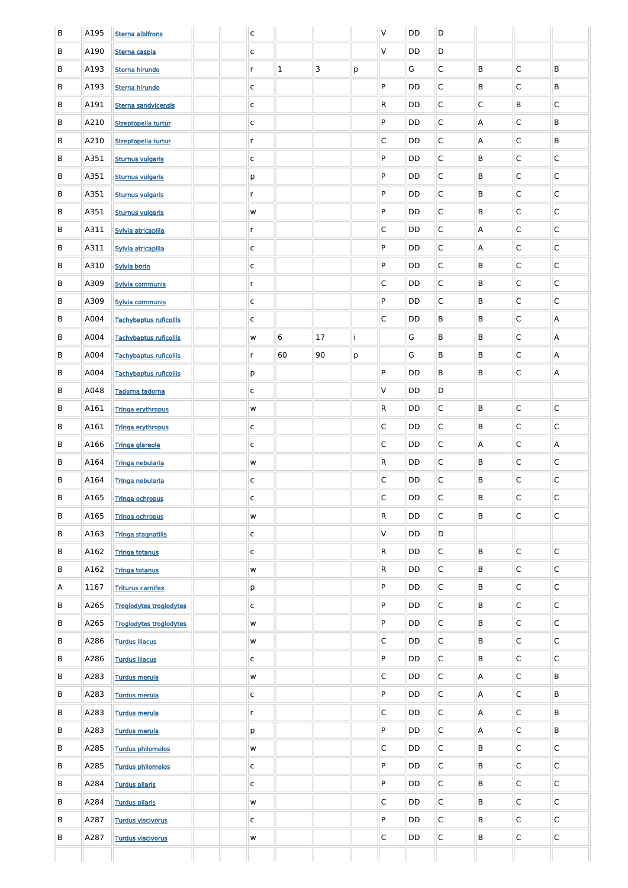| B | A195 | <b>Sterna albifrons</b>        |  | $\mathsf{C}$  |              |    |   | $\vee$                  | DD        | D            |                |              |                           |
|---|------|--------------------------------|--|---------------|--------------|----|---|-------------------------|-----------|--------------|----------------|--------------|---------------------------|
| B | A190 | Sterna caspia                  |  | $\mathsf C$   |              |    |   | $\vee$                  | DD        | D            |                |              |                           |
| B | A193 | Sterna hirundo                 |  | $\mathsf{r}$  | $\mathbf{1}$ | 3  | р |                         | G         | $\mathsf{C}$ | B              | $\mathsf{C}$ | B                         |
| B | A193 | Sterna hirundo                 |  | $\mathsf C$   |              |    |   | P                       | DD        | $\mathsf{C}$ | B              | $\mathsf{C}$ | B                         |
| B | A191 | Sterna sandvicensis            |  | $\mathsf C$   |              |    |   | R.                      | DD        | $\mathsf{C}$ | $\mathsf{C}$   | B            | $\mathsf{C}$              |
| B | A210 | Streptopelia turtur            |  | $\mathsf C$   |              |    |   | P                       | DD        | $\mathsf{C}$ | A              | $\mathsf{C}$ | B                         |
| B | A210 | Streptopelia turtur            |  | $\mathsf{r}$  |              |    |   | $\mathsf{C}$            | DD        | $\mathsf{C}$ | A              | $\mathsf{C}$ | B                         |
| B | A351 | <b>Sturnus vulgaris</b>        |  | $\mathsf C$   |              |    |   | P                       | DD        | $\mathsf{C}$ | B              | $\mathsf{C}$ | C                         |
| B | A351 | <b>Sturnus vulgaris</b>        |  | p             |              |    |   | P                       | DD        | $\mathsf{C}$ | B              | $\mathsf{C}$ | C                         |
| B | A351 | <b>Sturnus vulgaris</b>        |  | $\mathsf{r}$  |              |    |   | P                       | DD        | $\mathsf{C}$ | B              | $\mathsf{C}$ | C                         |
| B | A351 | <b>Sturnus vulgaris</b>        |  | ${\sf W}$     |              |    |   | P                       | DD        | $\mathsf{C}$ | B              | $\mathsf{C}$ | C                         |
| B | A311 | Sylvia atricapilla             |  | $\mathsf{r}$  |              |    |   | $\mathsf{C}$            | DD        | $\mathsf{C}$ | A              | $\mathsf{C}$ | C                         |
| B | A311 | Sylvia atricapilla             |  | $\mathsf C$   |              |    |   | P                       | DD        | $\mathsf{C}$ | A              | $\mathsf{C}$ | C                         |
| B | A310 | Sylvia borin                   |  | $\mathsf C$   |              |    |   | P                       | DD        | $\mathsf{C}$ | B              | $\mathsf{C}$ | $\mathsf{C}$              |
| B | A309 | Sylvia communis                |  | $\mathsf{r}$  |              |    |   | $\mathsf{C}$            | DD        | $\mathsf{C}$ | B              | $\mathsf{C}$ | C                         |
| B | A309 | Sylvia communis                |  | $\mathsf C$   |              |    |   | P                       | DD        | C            | B              | $\mathsf{C}$ | C                         |
| B | A004 | <b>Tachybaptus ruficollis</b>  |  | C             |              |    |   | $\mathsf{C}$            | DD        | B            | B              | $\mathsf{C}$ | A                         |
| B | A004 | <b>Tachybaptus ruficollis</b>  |  | ${\sf W}$     | 6            | 17 |   |                         | G         | B            | B              | $\mathsf{C}$ | A                         |
| B | A004 | Tachybaptus ruficollis         |  | $\mathsf{r}$  | 60           | 90 | p |                         | G         | B            | B              | $\mathsf C$  | $\boldsymbol{\mathsf{A}}$ |
| B | A004 | <b>Tachybaptus ruficollis</b>  |  | p             |              |    |   | P                       | DD        | B            | B              | $\mathsf C$  | $\boldsymbol{\mathsf{A}}$ |
| B | A048 | Tadorna tadorna                |  | $\mathsf C$   |              |    |   | $\vee$                  | DD        | D            |                |              |                           |
| B | A161 | <b>Tringa erythropus</b>       |  | ${\mathsf W}$ |              |    |   | $\mathsf{R}$            | DD        | $\mathsf{C}$ | B              | $\mathsf C$  | $\mathsf{C}$              |
| B | A161 | <b>Tringa erythropus</b>       |  | $\mathsf C$   |              |    |   | $\mathsf{C}$            | DD        | $\mathsf{C}$ | B              | $\mathsf{C}$ | $\mathsf{C}$              |
| B | A166 | Tringa glareola                |  | $\mathsf C$   |              |    |   | $\mathsf{C}$            | DD        | $\mathsf{C}$ | $\mathsf{A}$   | $\mathsf{C}$ | A                         |
| B | A164 | Tringa nebularia               |  | ${\mathsf W}$ |              |    |   | R                       | DD        | $\mathsf{C}$ | $\sf B$        | $\mathsf C$  | $\mathsf C$               |
| B | A164 | Tringa nebularia               |  | $\mathsf C$   |              |    |   | $\mathsf{C}$            | DD        | $\mathsf{C}$ | $\sf B$        | $\mathsf C$  | $\mathsf C$               |
| B | A165 | <b>Tringa ochropus</b>         |  | $\mathsf C$   |              |    |   | $\mathsf{C}$            | DD        | $\mathsf C$  | $\mathsf B$    | $\mathsf C$  | $\mathsf C$               |
| B | A165 | <b>Tringa ochropus</b>         |  | ${\mathsf W}$ |              |    |   | R                       | DD        | $\mathsf{C}$ | B              | $\mathsf C$  | $\mathsf C$               |
| B | A163 | <b>Tringa stagnatilis</b>      |  | $\mathsf C$   |              |    |   | $\vee$                  | DD        | D            |                |              |                           |
| B | A162 | <b>Tringa totanus</b>          |  | $\mathsf C$   |              |    |   | ${\sf R}$               | DD        | $\mathsf C$  | $\mathsf B$    | $\mathsf C$  | $\mathsf{C}$              |
| B | A162 | <b>Tringa totanus</b>          |  | ${\mathsf W}$ |              |    |   | ${\sf R}$               | DD        | $\mathsf C$  | $\mathsf B$    | $\mathsf C$  | $\mathsf C$               |
| A | 1167 | <b>Triturus carnifex</b>       |  | p             |              |    |   | P                       | DD        | $\mathsf C$  | B              | $\mathsf C$  | $\mathsf C$               |
| B | A265 | <b>Troglodytes troglodytes</b> |  | $\mathsf C$   |              |    |   | P                       | DD        | $\mathsf C$  | $\mathsf B$    | $\mathsf C$  | $\mathsf C$               |
| B | A265 | <b>Troglodytes troglodytes</b> |  | ${\mathsf W}$ |              |    |   | P                       | <b>DD</b> | $\mathsf C$  | $\mathsf B$    | $\mathsf C$  | $\mathsf C$               |
| B | A286 | <b>Turdus iliacus</b>          |  | ${\mathsf W}$ |              |    |   | $\mathsf{C}$            | <b>DD</b> | $\mathsf C$  | $\mathsf B$    | $\mathsf C$  | $\mathsf C$               |
| B | A286 | <b>Turdus iliacus</b>          |  | $\mathsf C$   |              |    |   | P                       | DD        | $\mathsf C$  | B              | $\mathsf C$  | $\mathsf C$               |
| B | A283 | <b>Turdus merula</b>           |  | ${\mathsf W}$ |              |    |   | $\overline{\mathsf{C}}$ | DD        | $\mathsf C$  | $\mathsf{A}$   | $\mathsf{C}$ | B                         |
| B | A283 | <b>Turdus merula</b>           |  | C             |              |    |   | P                       | DD        | C            | A              | $\mathsf{C}$ | B                         |
| B | A283 | Turdus merula                  |  | $\mathsf{r}$  |              |    |   | $\overline{\mathsf{C}}$ | <b>DD</b> | $\mathsf C$  | $\overline{A}$ | $\mathsf{C}$ | $\mathsf{B}$              |
| B | A283 | Turdus merula                  |  | p             |              |    |   | P                       | DD        | $\mathsf{C}$ | $\overline{A}$ | $\mathsf C$  | $\mathsf{B}$              |
| B | A285 | Turdus philomelos              |  | ${\sf W}$     |              |    |   | $\overline{\mathsf{C}}$ | DD        | $\mathsf{C}$ | B              | $\mathsf{C}$ | $\mathsf{C}$              |
| B | A285 | Turdus philomelos              |  | $\mathsf{C}$  |              |    |   | P                       | DD        | $\mathsf{C}$ | B              | $\mathsf{C}$ | $\mathsf{C}$              |
| B | A284 | <b>Turdus pilaris</b>          |  | $\mathsf{C}$  |              |    |   | P                       | DD        | $\mathsf{C}$ | B              | $\mathsf{C}$ | $\mathsf C$               |
| B | A284 | <b>Turdus pilaris</b>          |  | ${\sf W}$     |              |    |   | $\overline{\mathsf{C}}$ | <b>DD</b> | $\mathsf{C}$ | B              | $\mathsf{C}$ | $\mathsf{C}$              |
| B | A287 | <b>Turdus viscivorus</b>       |  | $\mathsf{C}$  |              |    |   | P                       | DD        | $\mathsf{C}$ | B              | $\mathsf{C}$ | $\mathsf C$               |
| B | A287 | <b>Turdus viscivorus</b>       |  |               |              |    |   | $\overline{\mathsf{C}}$ | DD        | $\mathsf{C}$ | B              | $\mathsf C$  | $\mathsf C$               |
|   |      |                                |  | ${\sf W}$     |              |    |   |                         |           |              |                |              |                           |
|   |      |                                |  |               |              |    |   |                         |           |              |                |              |                           |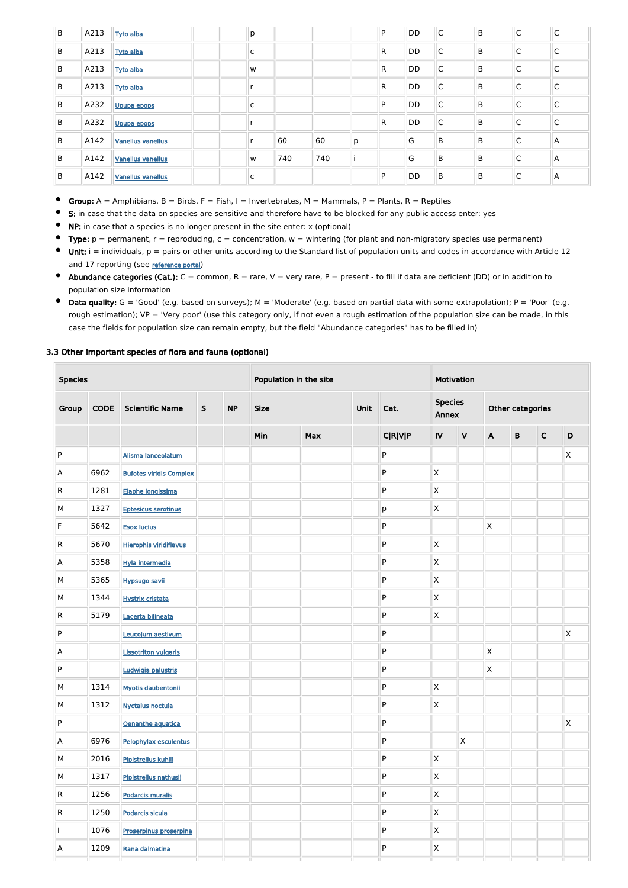| B | A213 | <b>Tyto alba</b>         | p            |     |     |   | P            | DD | $\mathsf C$  | $\mathsf B$ | $\mathsf{C}$ | $\sqrt{2}$<br>Ć |
|---|------|--------------------------|--------------|-----|-----|---|--------------|----|--------------|-------------|--------------|-----------------|
| B | A213 | <b>Tyto alba</b>         | $\mathsf{C}$ |     |     |   | $\mathsf{R}$ | DD | $\mathsf{C}$ | B           | $\mathsf{C}$ | $\mathsf C$     |
| B | A213 | <b>Tyto alba</b>         | W            |     |     |   | $\mathsf{R}$ | DD | $\mathsf C$  | B           | C            | C               |
| B | A213 | <b>Tyto alba</b>         | r            |     |     |   | $\mathsf{R}$ | DD | C            | B           | $\mathsf{C}$ | C               |
| B | A232 | Upupa epops              | C            |     |     |   | P            | DD | $\mathsf{C}$ | B           | $\mathsf{C}$ | C               |
| B | A232 | Upupa epops              | ×            |     |     |   | $\mathsf{R}$ | DD | C            | B           | C            | C               |
| B | A142 | <b>Vanellus vanellus</b> |              | 60  | 60  | p |              | G  | B            | B           | $\mathsf{C}$ | $\Lambda$       |
| B | A142 | <b>Vanellus vanellus</b> | W            | 740 | 740 |   |              | G  | B            | B           | $\mathsf{C}$ | Α               |
| B | A142 | <b>Vanellus vanellus</b> | C            |     |     |   | P            | DD | B            | B           | C            | A               |

- Group:  $A =$  Amphibians,  $B =$  Birds,  $F =$  Fish, I = Invertebrates, M = Mammals, P = Plants, R = Reptiles  $\bullet$
- $\bullet$ S: in case that the data on species are sensitive and therefore have to be blocked for any public access enter: yes
- $\bullet$ NP: in case that a species is no longer present in the site enter: x (optional)
- $\bullet$ Type:  $p =$  permanent,  $r =$  reproducing,  $c =$  concentration,  $w =$  wintering (for plant and non-migratory species use permanent)
- $\bullet$  Unit: i = individuals,  $p =$  pairs or other units according to the Standard list of population units and codes in accordance with Article 12 and 17 reporting (see [reference portal](http://bd.eionet.europa.eu/activities/Natura_2000/reference_portal))
- Abundance categories (Cat.):  $C =$  common,  $R =$  rare,  $V =$  very rare,  $P =$  present to fill if data are deficient (DD) or in addition to population size information
- $\bullet$  Data quality:  $G = 'Good'$  (e.g. based on surveys);  $M = 'Modern'$  (e.g. based on partial data with some extrapolation);  $P = 'Poor'$  (e.g. rough estimation); VP = 'Very poor' (use this category only, if not even a rough estimation of the population size can be made, in this case the fields for population size can remain empty, but the field "Abundance categories" has to be filled in)

#### 3.3 Other important species of flora and fauna (optional)

| <b>Species</b> |             |                                |              |           | Population in the site |            |      |                | Motivation                     |              |              |                  |             |                |
|----------------|-------------|--------------------------------|--------------|-----------|------------------------|------------|------|----------------|--------------------------------|--------------|--------------|------------------|-------------|----------------|
| Group          | <b>CODE</b> | <b>Scientific Name</b>         | $\mathsf{S}$ | <b>NP</b> | <b>Size</b>            |            | Unit | Cat.           | <b>Species</b><br><b>Annex</b> |              |              | Other categories |             |                |
|                |             |                                |              |           | Min                    | <b>Max</b> |      | <b>C R V P</b> | $\mathsf{IV}$                  | $\mathsf{V}$ | $\mathsf{A}$ | B                | $\mathsf C$ | D              |
| P              |             | Alisma lanceolatum             |              |           |                        |            |      | ${\sf P}$      |                                |              |              |                  |             | X              |
| A              | 6962        | <b>Bufotes viridis Complex</b> |              |           |                        |            |      | ${\sf P}$      | $\mathsf{X}$                   |              |              |                  |             |                |
| $\overline{R}$ | 1281        | Elaphe longissima              |              |           |                        |            |      | P              | X                              |              |              |                  |             |                |
| M              | 1327        | <b>Eptesicus serotinus</b>     |              |           |                        |            |      | р              | $\mathsf{X}$                   |              |              |                  |             |                |
| F              | 5642        | <b>Esox lucius</b>             |              |           |                        |            |      | ${\sf P}$      |                                |              | X            |                  |             |                |
| $\mathsf{R}$   | 5670        | <b>Hierophis viridiflavus</b>  |              |           |                        |            |      | P              | $\mathsf{X}$                   |              |              |                  |             |                |
| A              | 5358        | Hyla intermedia                |              |           |                        |            |      | P              | X                              |              |              |                  |             |                |
| M              | 5365        | <b>Hypsugo savii</b>           |              |           |                        |            |      | P              | $\mathsf{X}$                   |              |              |                  |             |                |
| M              | 1344        | <b>Hystrix cristata</b>        |              |           |                        |            |      | P              | $\mathsf{X}$                   |              |              |                  |             |                |
| $\overline{R}$ | 5179        | Lacerta bilineata              |              |           |                        |            |      | P              | $\mathsf{X}$                   |              |              |                  |             |                |
| P              |             | Leucojum aestivum              |              |           |                        |            |      | P              |                                |              |              |                  |             | X              |
| A              |             | <b>Lissotriton vulgaris</b>    |              |           |                        |            |      | P              |                                |              | X            |                  |             |                |
| P              |             | Ludwigia palustris             |              |           |                        |            |      | P              |                                |              | Χ            |                  |             |                |
| М              | 1314        | <b>Myotis daubentonii</b>      |              |           |                        |            |      | P              | $\mathsf{X}$                   |              |              |                  |             |                |
| М              | 1312        | <b>Nyctalus noctula</b>        |              |           |                        |            |      | ${\sf P}$      | $\mathsf{X}$                   |              |              |                  |             |                |
| P              |             | Oenanthe aquatica              |              |           |                        |            |      | P              |                                |              |              |                  |             | $\mathsf{X}^-$ |
| $\mathsf{A}$   | 6976        | Pelophylax esculentus          |              |           |                        |            |      | P              |                                | $\mathsf{X}$ |              |                  |             |                |
| M              | 2016        | Pipistrellus kuhlii            |              |           |                        |            |      | P              | $\mathsf{X}$                   |              |              |                  |             |                |
| M              | 1317        | Pipistrellus nathusii          |              |           |                        |            |      | P              | $\mathsf{X}$                   |              |              |                  |             |                |
| $\mathsf{R}$   | 1256        | <b>Podarcis muralis</b>        |              |           |                        |            |      | P              | $\mathsf{X}$                   |              |              |                  |             |                |
| R              | 1250        | <b>Podarcis sicula</b>         |              |           |                        |            |      | P              | $\mathsf{X}$                   |              |              |                  |             |                |
|                | 1076        | Proserpinus proserpina         |              |           |                        |            |      | P              | $\mathsf{X}$                   |              |              |                  |             |                |
| Α              | 1209        | Rana dalmatina                 |              |           |                        |            |      | P              | $\mathsf{X}$                   |              |              |                  |             |                |
|                |             |                                |              |           |                        |            |      |                |                                |              |              |                  |             |                |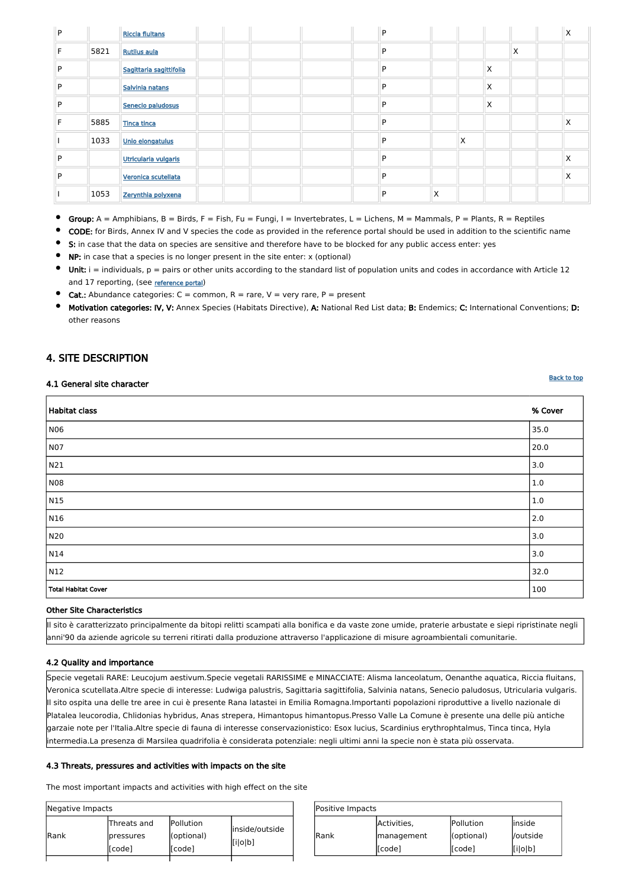|       | Positive Impacts |            |           |  |  |  |  |  |  |  |  |
|-------|------------------|------------|-----------|--|--|--|--|--|--|--|--|
|       | Activities,      | Pollution  | linside   |  |  |  |  |  |  |  |  |
| lRank | management       | (optional) | l/outside |  |  |  |  |  |  |  |  |
|       | [[code]          | [code]     | [i o b]   |  |  |  |  |  |  |  |  |

| Negative Impacts |                                      |                                    |                           |
|------------------|--------------------------------------|------------------------------------|---------------------------|
| Rank             | Threats and<br> pressures<br>[[code] | Pollution<br>(optional)<br>[[code] | inside/outside<br>[i o b] |
|                  |                                      |                                    |                           |

| P |      | <b>Riccia fluitans</b>  |  |  | P |   |   |   |   | ⋏ |
|---|------|-------------------------|--|--|---|---|---|---|---|---|
| Е | 5821 | <b>Rutilus aula</b>     |  |  | P |   |   |   | X |   |
| P |      | Sagittaria sagittifolia |  |  | P |   |   | X |   |   |
| P |      | Salvinia natans         |  |  | P |   |   | X |   |   |
| P |      | Senecio paludosus       |  |  | P |   |   | X |   |   |
|   | 5885 | <b>Tinca tinca</b>      |  |  | P |   |   |   |   | Χ |
|   | 1033 | Unio elongatulus        |  |  | P |   | X |   |   |   |
| P |      | Utricularia vulgaris    |  |  | P |   |   |   |   | Χ |
| P |      | Veronica scutellata     |  |  | P |   |   |   |   | X |
|   | 1053 | Zerynthia polyxena      |  |  | P | X |   |   |   |   |

 $\bullet$ Group: A = Amphibians, B = Birds, F = Fish, Fu = Fungi, I = Invertebrates, L = Lichens, M = Mammals, P = Plants, R = Reptiles

- S: in case that the data on species are sensitive and therefore have to be blocked for any public access enter: yes
- NP: in case that a species is no longer present in the site enter: x (optional)
- Unit:  $i =$  individuals,  $p =$  pairs or other units according to the standard list of population units and codes in accordance with Article 12 and 17 reporting, (see [reference portal](http://bd.eionet.europa.eu/activities/Natura_2000/reference_portal))
- $\bullet$ **Cat.:** Abundance categories:  $C =$  common,  $R =$  rare,  $V =$  very rare,  $P =$  present
- Motivation categories: IV, V: Annex Species (Habitats Directive), A: National Red List data; B: Endemics; C: International Conventions; D: other reasons

CODE: for Birds, Annex IV and V species the code as provided in the reference portal should be used in addition to the scientific name

# <span id="page-11-0"></span>4. SITE DESCRIPTION

#### 4.1 General site character

| Habitat class       | % Cover     |
|---------------------|-------------|
|                     |             |
| N06                 | 35.0        |
| N07                 | 20.0        |
| N21                 | 3.0         |
| N08                 | 1.0         |
| N <sub>15</sub>     | 1.0         |
| N <sub>16</sub>     | $\vert$ 2.0 |
| N20                 | 3.0         |
| N14                 | 3.0         |
| N12                 | 32.0        |
| Total Habitat Cover | 100         |

#### Other Site Characteristics

Il sito è caratterizzato principalmente da bitopi relitti scampati alla bonifica e da vaste zone umide, praterie arbustate e siepi ripristinate negli anni'90 da aziende agricole su terreni ritirati dalla produzione attraverso l'applicazione di misure agroambientali comunitarie.

### 4.2 Quality and importance

Specie vegetali RARE: Leucojum aestivum.Specie vegetali RARISSIME e MINACCIATE: Alisma lanceolatum, Oenanthe aquatica, Riccia fluitans, Veronica scutellata.Altre specie di interesse: Ludwiga palustris, Sagittaria sagittifolia, Salvinia natans, Senecio paludosus, Utricularia vulgaris. Il sito ospita una delle tre aree in cui è presente Rana latastei in Emilia Romagna.Importanti popolazioni riproduttive a livello nazionale di Platalea leucorodia, Chlidonias hybridus, Anas strepera, Himantopus himantopus.Presso Valle La Comune è presente una delle più antiche garzaie note per l'Italia.Altre specie di fauna di interesse conservazionistico: Esox lucius, Scardinius erythrophtalmus, Tinca tinca, Hyla intermedia.La presenza di Marsilea quadrifolia è considerata potenziale: negli ultimi anni la specie non è stata più osservata.

### 4.3 Threats, pressures and activities with impacts on the site

The most important impacts and activities with high effect on the site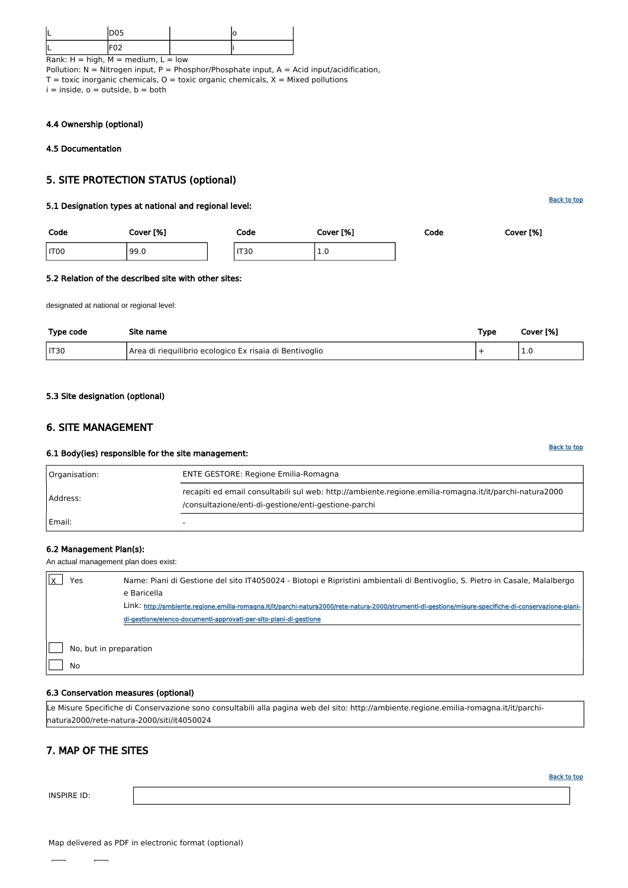[Back to top](#page-0-0)

[Back to top](#page-0-0)

| <b>DOF</b><br>∪טש |  |
|-------------------|--|
| - - -             |  |

Rank:  $H = high$ ,  $M = medium$ ,  $L = low$ Pollution:  $N = N$ itrogen input, P = Phosphor/Phosphate input, A = Acid input/acidification,  $T =$  toxic inorganic chemicals,  $O =$  toxic organic chemicals,  $X =$  Mixed pollutions  $i =$  inside,  $o =$  outside,  $b =$  both

### 4.4 Ownership (optional)

### <span id="page-12-0"></span>4.5 Documentation

# 5. SITE PROTECTION STATUS (optional)

### 5.1 Designation types at national and regional level:

| Code | Cover [%] | Code        | Cover [%]  | Code | Cover [%] |
|------|-----------|-------------|------------|------|-----------|
| IT00 | 99.0      | <b>IT30</b> | <b>L.V</b> |      |           |

#### 5.2 Relation of the described site with other sites:

designated at national or regional level:

| Type code | Site name                                               | Type | Cover [%] |
|-----------|---------------------------------------------------------|------|-----------|
| IT30      | Area di riequilibrio ecologico Ex risaia di Bentivoglio |      |           |

#### <span id="page-12-1"></span>5.3 Site designation (optional)

| Yes                    | Name: Piani di Gestione del sito IT4050024 - Biotopi e Ripristini ambientali di Bentivoglio, S. Pietro in Casale, Malalbergo                          |
|------------------------|-------------------------------------------------------------------------------------------------------------------------------------------------------|
|                        | e Baricella                                                                                                                                           |
|                        | Link: http://ambiente.regione.emilia-romagna.it/it/parchi-natura2000/rete-natura-2000/strumenti-di-gestione/misure-specifiche-di-conservazione-piani- |
|                        | di-gestione/elenco-documenti-approvati-per-sito-piani-di-gestione                                                                                     |
|                        |                                                                                                                                                       |
| No, but in preparation |                                                                                                                                                       |

# 6. SITE MANAGEMENT

#### 6.1 Body(ies) responsible for the site management:

| Organisation: | <b>ENTE GESTORE: Regione Emilia-Romagna</b>                                                                                                                    |  |  |
|---------------|----------------------------------------------------------------------------------------------------------------------------------------------------------------|--|--|
| Address:      | recapiti ed email consultabili sul web: http://ambiente.regione.emilia-romagna.it/it/parchi-natura2000<br>/consultazione/enti-di-gestione/enti-gestione-parchi |  |  |
| Email:        |                                                                                                                                                                |  |  |

#### 6.2 Management Plan(s):

An actual management plan does exist:

No

#### 6.3 Conservation measures (optional)

Le Misure Specifiche di Conservazione sono consultabili alla pagina web del sito: http://ambiente.regione.emilia-romagna.it/it/parchinatura2000/rete-natura-2000/siti/it4050024

# <span id="page-12-2"></span>7. MAP OF THE SITES

INSPIRE ID:

Map delivered as PDF in electronic format (optional)